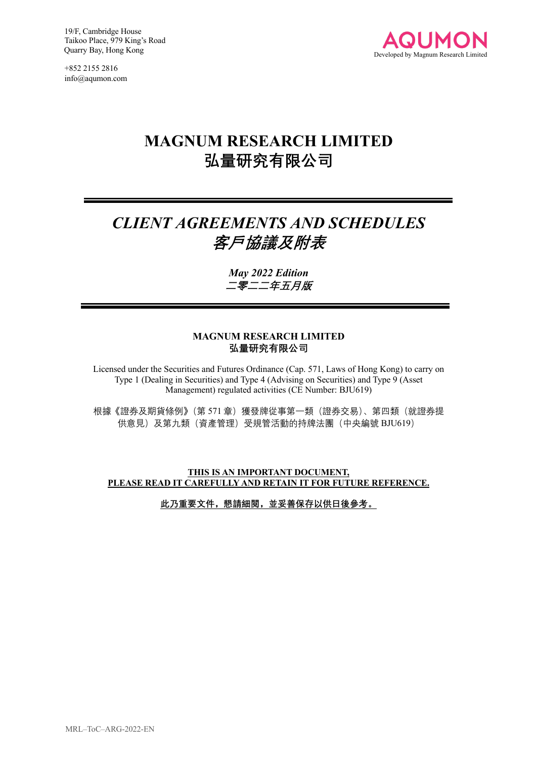+852 2155 2816 info@aqumon.com



# **MAGNUM RESEARCH LIMITED 弘量研究有限公司**

# *CLIENT AGREEMENTS AND SCHEDULES* **客戶協議及附表**

*May 2022 Edition* **二零二二年五月版**

#### **MAGNUM RESEARCH LIMITED 弘量研究有限公司**

Licensed under the Securities and Futures Ordinance (Cap. 571, Laws of Hong Kong) to carry on Type 1 (Dealing in Securities) and Type 4 (Advising on Securities) and Type 9 (Asset Management) regulated activities (CE Number: BJU619)

根據《證券及期貨條例》(第571章)獲發牌從事第一類(證券交易)、第四類(就證券提 供意見)及第九類(資產管理)受規管活動的持牌法團(中央編號 BJU619)

**THIS IS AN IMPORTANT DOCUMENT, PLEASE READ IT CAREFULLY AND RETAIN IT FOR FUTURE REFERENCE.**

**此乃重要文件,懇請細閱,並妥善保存以供日後參考。**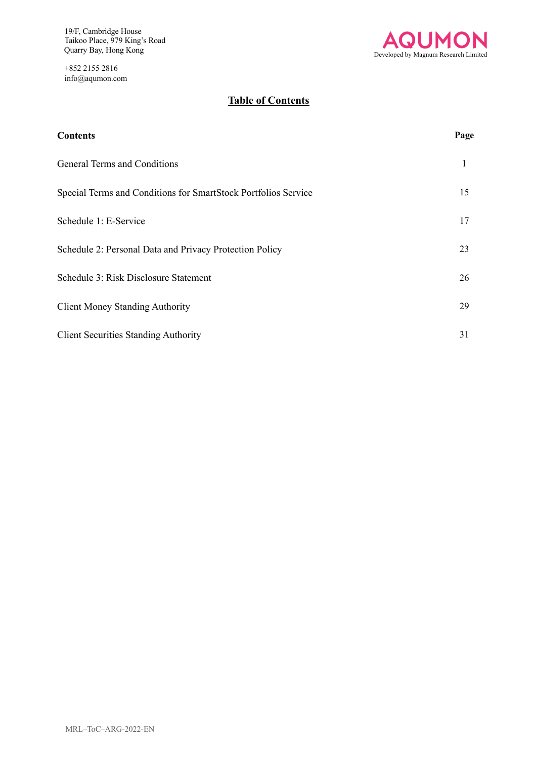+852 2155 2816 info@aqumon.com



## **Table of Contents**

| <b>Contents</b>                                                | Page |
|----------------------------------------------------------------|------|
| General Terms and Conditions                                   | 1    |
| Special Terms and Conditions for SmartStock Portfolios Service | 15   |
| Schedule 1: E-Service                                          | 17   |
| Schedule 2: Personal Data and Privacy Protection Policy        | 23   |
| Schedule 3: Risk Disclosure Statement                          |      |
| <b>Client Money Standing Authority</b>                         | 29   |
| <b>Client Securities Standing Authority</b>                    | 31   |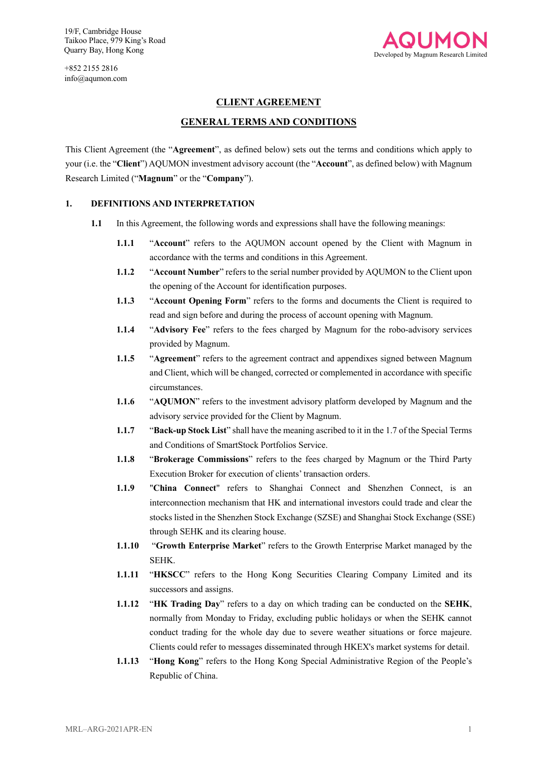

#### **CLIENT AGREEMENT**

#### **GENERAL TERMS AND CONDITIONS**

This Client Agreement (the "**Agreement**", as defined below) sets out the terms and conditions which apply to your (i.e. the "**Client**") AQUMON investment advisory account (the "**Account**", as defined below) with Magnum Research Limited ("**Magnum**" or the "**Company**").

#### **1. DEFINITIONS AND INTERPRETATION**

- **1.1** In this Agreement, the following words and expressions shall have the following meanings:
	- **1.1.1** "**Account**" refers to the AQUMON account opened by the Client with Magnum in accordance with the terms and conditions in this Agreement.
	- **1.1.2** "**Account Number**" refers to the serial number provided by AQUMON to the Client upon the opening of the Account for identification purposes.
	- **1.1.3** "**Account Opening Form**" refers to the forms and documents the Client is required to read and sign before and during the process of account opening with Magnum.
	- **1.1.4** "**Advisory Fee**" refers to the fees charged by Magnum for the robo-advisory services provided by Magnum.
	- **1.1.5** "**Agreement**" refers to the agreement contract and appendixes signed between Magnum and Client, which will be changed, corrected or complemented in accordance with specific circumstances.
	- **1.1.6** "**AQUMON**" refers to the investment advisory platform developed by Magnum and the advisory service provided for the Client by Magnum.
	- **1.1.7** "**Back-up Stock List**" shall have the meaning ascribed to it in the 1.7 of the Special Terms and Conditions of SmartStock Portfolios Service.
	- **1.1.8** "**Brokerage Commissions**" refers to the fees charged by Magnum or the Third Party Execution Broker for execution of clients' transaction orders.
	- **1.1.9** "**China Connect**" refers to Shanghai Connect and Shenzhen Connect, is an interconnection mechanism that HK and international investors could trade and clear the stocks listed in the Shenzhen Stock Exchange (SZSE) and Shanghai Stock Exchange (SSE) through SEHK and its clearing house.
	- **1.1.10** "**Growth Enterprise Market**" refers to the Growth Enterprise Market managed by the SEHK.
	- **1.1.11** "HKSCC" refers to the Hong Kong Securities Clearing Company Limited and its successors and assigns.
	- **1.1.12** "**HK Trading Day**" refers to a day on which trading can be conducted on the **SEHK**, normally from Monday to Friday, excluding public holidays or when the SEHK cannot conduct trading for the whole day due to severe weather situations or force majeure. Clients could refer to messages disseminated through HKEX's market systems for detail.
	- **1.1.13** "**Hong Kong**" refers to the Hong Kong Special Administrative Region of the People's Republic of China.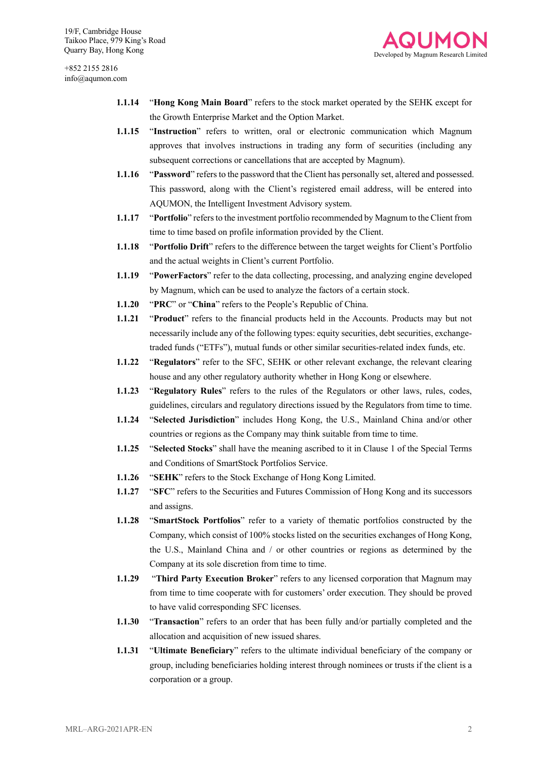

- **1.1.14** "**Hong Kong Main Board**" refers to the stock market operated by the SEHK except for the Growth Enterprise Market and the Option Market.
- **1.1.15** "**Instruction**" refers to written, oral or electronic communication which Magnum approves that involves instructions in trading any form of securities (including any subsequent corrections or cancellations that are accepted by Magnum).
- **1.1.16** "**Password**" refers to the password that the Client has personally set, altered and possessed. This password, along with the Client's registered email address, will be entered into AQUMON, the Intelligent Investment Advisory system.
- **1.1.17** "**Portfolio**" refers to the investment portfolio recommended by Magnum to the Client from time to time based on profile information provided by the Client.
- **1.1.18** "**Portfolio Drift**" refers to the difference between the target weights for Client's Portfolio and the actual weights in Client's current Portfolio.
- **1.1.19** "**PowerFactors**" refer to the data collecting, processing, and analyzing engine developed by Magnum, which can be used to analyze the factors of a certain stock.
- **1.1.20** "**PRC**" or "**China**" refers to the People's Republic of China.
- **1.1.21** "**Product**" refers to the financial products held in the Accounts. Products may but not necessarily include any of the following types: equity securities, debt securities, exchangetraded funds ("ETFs"), mutual funds or other similar securities-related index funds, etc.
- **1.1.22** "**Regulators**" refer to the SFC, SEHK or other relevant exchange, the relevant clearing house and any other regulatory authority whether in Hong Kong or elsewhere.
- **1.1.23** "**Regulatory Rules**" refers to the rules of the Regulators or other laws, rules, codes, guidelines, circulars and regulatory directions issued by the Regulators from time to time.
- **1.1.24** "**Selected Jurisdiction**" includes Hong Kong, the U.S., Mainland China and/or other countries or regions as the Company may think suitable from time to time.
- **1.1.25** "**Selected Stocks**" shall have the meaning ascribed to it in Clause 1 of the Special Terms and Conditions of SmartStock Portfolios Service.
- **1.1.26** "**SEHK**" refers to the Stock Exchange of Hong Kong Limited.
- **1.1.27** "**SFC**" refers to the Securities and Futures Commission of Hong Kong and its successors and assigns.
- **1.1.28** "**SmartStock Portfolios**" refer to a variety of thematic portfolios constructed by the Company, which consist of 100% stocks listed on the securities exchanges of Hong Kong, the U.S., Mainland China and / or other countries or regions as determined by the Company at its sole discretion from time to time.
- **1.1.29** "**Third Party Execution Broker**" refers to any licensed corporation that Magnum may from time to time cooperate with for customers' order execution. They should be proved to have valid corresponding SFC licenses.
- **1.1.30** "**Transaction**" refers to an order that has been fully and/or partially completed and the allocation and acquisition of new issued shares.
- **1.1.31** "**Ultimate Beneficiary**" refers to the ultimate individual beneficiary of the company or group, including beneficiaries holding interest through nominees or trusts if the client is a corporation or a group.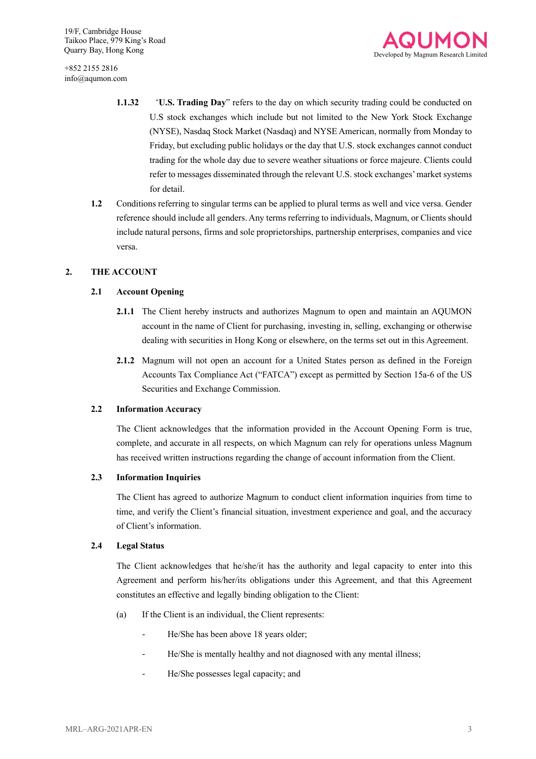

- **1.1.32** "**U.S. Trading Day**" refers to the day on which security trading could be conducted on U.S stock exchanges which include but not limited to the New York Stock Exchange (NYSE), Nasdaq Stock Market (Nasdaq) and NYSE American, normally from Monday to Friday, but excluding public holidays or the day that U.S. stock exchanges cannot conduct trading for the whole day due to severe weather situations or force majeure. Clients could refer to messages disseminated through the relevant U.S. stock exchanges'market systems for detail.
- **1.2** Conditions referring to singular terms can be applied to plural terms as well and vice versa. Gender reference should include all genders. Any terms referring to individuals, Magnum, or Clients should include natural persons, firms and sole proprietorships, partnership enterprises, companies and vice versa.

#### **2. THE ACCOUNT**

#### **2.1 Account Opening**

- **2.1.1** The Client hereby instructs and authorizes Magnum to open and maintain an AQUMON account in the name of Client for purchasing, investing in, selling, exchanging or otherwise dealing with securities in Hong Kong or elsewhere, on the terms set out in this Agreement.
- **2.1.2** Magnum will not open an account for a United States person as defined in the Foreign Accounts Tax Compliance Act ("FATCA") except as permitted by Section 15a-6 of the US Securities and Exchange Commission.

#### **2.2 Information Accuracy**

The Client acknowledges that the information provided in the Account Opening Form is true, complete, and accurate in all respects, on which Magnum can rely for operations unless Magnum has received written instructions regarding the change of account information from the Client.

#### **2.3 Information Inquiries**

The Client has agreed to authorize Magnum to conduct client information inquiries from time to time, and verify the Client's financial situation, investment experience and goal, and the accuracy of Client's information.

#### **2.4 Legal Status**

The Client acknowledges that he/she/it has the authority and legal capacity to enter into this Agreement and perform his/her/its obligations under this Agreement, and that this Agreement constitutes an effective and legally binding obligation to the Client:

- (a) If the Client is an individual, the Client represents:
	- He/She has been above 18 years older;
	- He/She is mentally healthy and not diagnosed with any mental illness;
	- He/She possesses legal capacity; and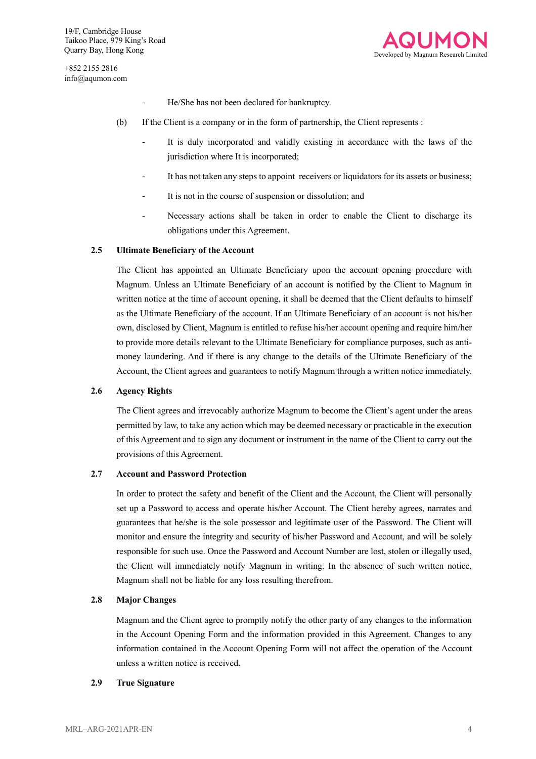

- He/She has not been declared for bankruptcy.
- (b) If the Client is a company or in the form of partnership, the Client represents :
	- It is duly incorporated and validly existing in accordance with the laws of the jurisdiction where It is incorporated;
	- It has not taken any steps to appoint receivers or liquidators for its assets or business;
	- It is not in the course of suspension or dissolution; and
	- Necessary actions shall be taken in order to enable the Client to discharge its obligations under this Agreement.

#### **2.5 Ultimate Beneficiary of the Account**

The Client has appointed an Ultimate Beneficiary upon the account opening procedure with Magnum. Unless an Ultimate Beneficiary of an account is notified by the Client to Magnum in written notice at the time of account opening, it shall be deemed that the Client defaults to himself as the Ultimate Beneficiary of the account. If an Ultimate Beneficiary of an account is not his/her own, disclosed by Client, Magnum is entitled to refuse his/her account opening and require him/her to provide more details relevant to the Ultimate Beneficiary for compliance purposes, such as antimoney laundering. And if there is any change to the details of the Ultimate Beneficiary of the Account, the Client agrees and guarantees to notify Magnum through a written notice immediately.

#### **2.6 Agency Rights**

The Client agrees and irrevocably authorize Magnum to become the Client's agent under the areas permitted by law, to take any action which may be deemed necessary or practicable in the execution of this Agreement and to sign any document or instrument in the name of the Client to carry out the provisions of this Agreement.

#### **2.7 Account and Password Protection**

In order to protect the safety and benefit of the Client and the Account, the Client will personally set up a Password to access and operate his/her Account. The Client hereby agrees, narrates and guarantees that he/she is the sole possessor and legitimate user of the Password. The Client will monitor and ensure the integrity and security of his/her Password and Account, and will be solely responsible for such use. Once the Password and Account Number are lost, stolen or illegally used, the Client will immediately notify Magnum in writing. In the absence of such written notice, Magnum shall not be liable for any loss resulting therefrom.

#### **2.8 Major Changes**

Magnum and the Client agree to promptly notify the other party of any changes to the information in the Account Opening Form and the information provided in this Agreement. Changes to any information contained in the Account Opening Form will not affect the operation of the Account unless a written notice is received.

#### **2.9 True Signature**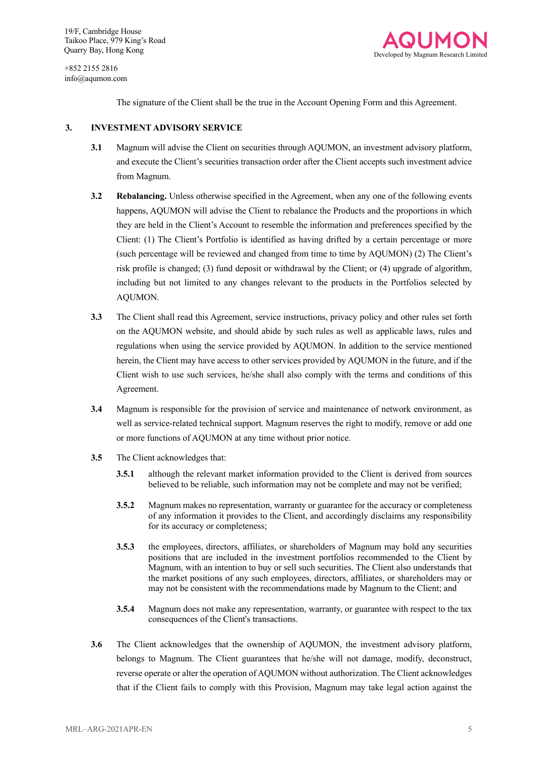+852 2155 2816 info@aqumon.com



The signature of the Client shall be the true in the Account Opening Form and this Agreement.

#### **3. INVESTMENT ADVISORY SERVICE**

- **3.1** Magnum will advise the Client on securities through AQUMON, an investment advisory platform, and execute the Client's securities transaction order after the Client accepts such investment advice from Magnum.
- **3.2 Rebalancing.** Unless otherwise specified in the Agreement, when any one of the following events happens, AQUMON will advise the Client to rebalance the Products and the proportions in which they are held in the Client's Account to resemble the information and preferences specified by the Client: (1) The Client's Portfolio is identified as having drifted by a certain percentage or more (such percentage will be reviewed and changed from time to time by AQUMON) (2) The Client's risk profile is changed; (3) fund deposit or withdrawal by the Client; or (4) upgrade of algorithm, including but not limited to any changes relevant to the products in the Portfolios selected by AQUMON.
- **3.3** The Client shall read this Agreement, service instructions, privacy policy and other rules set forth on the AQUMON website, and should abide by such rules as well as applicable laws, rules and regulations when using the service provided by AQUMON. In addition to the service mentioned herein, the Client may have access to other services provided by AQUMON in the future, and if the Client wish to use such services, he/she shall also comply with the terms and conditions of this Agreement.
- **3.4** Magnum is responsible for the provision of service and maintenance of network environment, as well as service-related technical support. Magnum reserves the right to modify, remove or add one or more functions of AQUMON at any time without prior notice.
- **3.5** The Client acknowledges that:
	- **3.5.1** although the relevant market information provided to the Client is derived from sources believed to be reliable, such information may not be complete and may not be verified;
	- **3.5.2** Magnum makes no representation, warranty or guarantee for the accuracy or completeness of any information it provides to the Client, and accordingly disclaims any responsibility for its accuracy or completeness;
	- **3.5.3** the employees, directors, affiliates, or shareholders of Magnum may hold any securities positions that are included in the investment portfolios recommended to the Client by Magnum, with an intention to buy or sell such securities. The Client also understands that the market positions of any such employees, directors, affiliates, or shareholders may or may not be consistent with the recommendations made by Magnum to the Client; and
	- **3.5.4** Magnum does not make any representation, warranty, or guarantee with respect to the tax consequences of the Client's transactions.
- **3.6** The Client acknowledges that the ownership of AQUMON, the investment advisory platform, belongs to Magnum. The Client guarantees that he/she will not damage, modify, deconstruct, reverse operate or alter the operation of AQUMON without authorization. The Client acknowledges that if the Client fails to comply with this Provision, Magnum may take legal action against the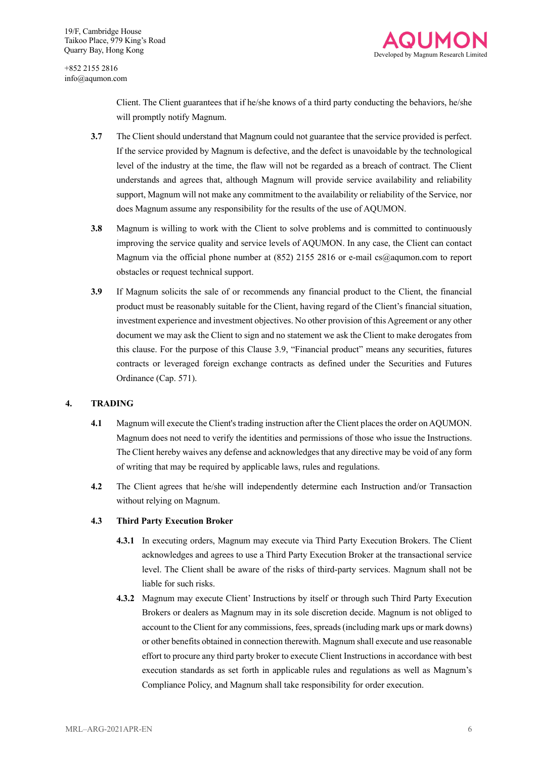

> Client. The Client guarantees that if he/she knows of a third party conducting the behaviors, he/she will promptly notify Magnum.

- **3.7** The Client should understand that Magnum could not guarantee that the service provided is perfect. If the service provided by Magnum is defective, and the defect is unavoidable by the technological level of the industry at the time, the flaw will not be regarded as a breach of contract. The Client understands and agrees that, although Magnum will provide service availability and reliability support, Magnum will not make any commitment to the availability or reliability of the Service, nor does Magnum assume any responsibility for the results of the use of AQUMON.
- **3.8** Magnum is willing to work with the Client to solve problems and is committed to continuously improving the service quality and service levels of AQUMON. In any case, the Client can contact Magnum via the official phone number at (852) 2155 2816 or e-mail cs@aqumon.com to report obstacles or request technical support.
- **3.9** If Magnum solicits the sale of or recommends any financial product to the Client, the financial product must be reasonably suitable for the Client, having regard of the Client's financial situation, investment experience and investment objectives. No other provision of this Agreement or any other document we may ask the Client to sign and no statement we ask the Client to make derogates from this clause. For the purpose of this Clause 3.9, "Financial product" means any securities, futures contracts or leveraged foreign exchange contracts as defined under the Securities and Futures Ordinance (Cap. 571).

#### **4. TRADING**

- **4.1** Magnum will execute the Client's trading instruction after the Client places the order on AQUMON. Magnum does not need to verify the identities and permissions of those who issue the Instructions. The Client hereby waives any defense and acknowledges that any directive may be void of any form of writing that may be required by applicable laws, rules and regulations.
- **4.2** The Client agrees that he/she will independently determine each Instruction and/or Transaction without relying on Magnum.

#### **4.3 Third Party Execution Broker**

- **4.3.1** In executing orders, Magnum may execute via Third Party Execution Brokers. The Client acknowledges and agrees to use a Third Party Execution Broker at the transactional service level. The Client shall be aware of the risks of third-party services. Magnum shall not be liable for such risks.
- **4.3.2** Magnum may execute Client' Instructions by itself or through such Third Party Execution Brokers or dealers as Magnum may in its sole discretion decide. Magnum is not obliged to account to the Client for any commissions, fees, spreads (including mark ups or mark downs) or other benefits obtained in connection therewith. Magnum shall execute and use reasonable effort to procure any third party broker to execute Client Instructions in accordance with best execution standards as set forth in applicable rules and regulations as well as Magnum's Compliance Policy, and Magnum shall take responsibility for order execution.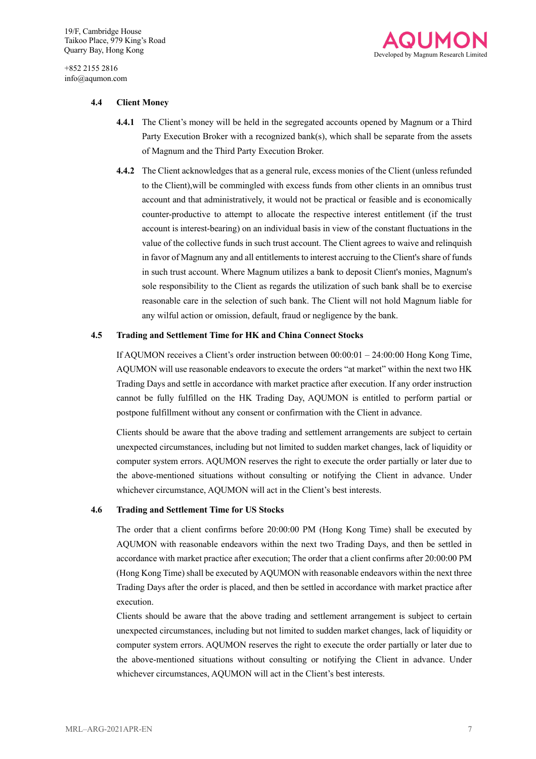

#### **4.4 Client Money**

- **4.4.1** The Client's money will be held in the segregated accounts opened by Magnum or a Third Party Execution Broker with a recognized bank(s), which shall be separate from the assets of Magnum and the Third Party Execution Broker.
- **4.4.2** The Client acknowledges that as a general rule, excess monies of the Client (unless refunded to the Client),will be commingled with excess funds from other clients in an omnibus trust account and that administratively, it would not be practical or feasible and is economically counter-productive to attempt to allocate the respective interest entitlement (if the trust account is interest-bearing) on an individual basis in view of the constant fluctuations in the value of the collective funds in such trust account. The Client agrees to waive and relinquish in favor of Magnum any and all entitlements to interest accruing to the Client's share of funds in such trust account. Where Magnum utilizes a bank to deposit Client's monies, Magnum's sole responsibility to the Client as regards the utilization of such bank shall be to exercise reasonable care in the selection of such bank. The Client will not hold Magnum liable for any wilful action or omission, default, fraud or negligence by the bank.

#### **4.5 Trading and Settlement Time for HK and China Connect Stocks**

If AQUMON receives a Client's order instruction between 00:00:01 – 24:00:00 Hong Kong Time, AQUMON will use reasonable endeavors to execute the orders "at market" within the next two HK Trading Days and settle in accordance with market practice after execution. If any order instruction cannot be fully fulfilled on the HK Trading Day, AQUMON is entitled to perform partial or postpone fulfillment without any consent or confirmation with the Client in advance.

Clients should be aware that the above trading and settlement arrangements are subject to certain unexpected circumstances, including but not limited to sudden market changes, lack of liquidity or computer system errors. AQUMON reserves the right to execute the order partially or later due to the above-mentioned situations without consulting or notifying the Client in advance. Under whichever circumstance, AQUMON will act in the Client's best interests.

#### **4.6 Trading and Settlement Time for US Stocks**

The order that a client confirms before 20:00:00 PM (Hong Kong Time) shall be executed by AQUMON with reasonable endeavors within the next two Trading Days, and then be settled in accordance with market practice after execution; The order that a client confirms after 20:00:00 PM (Hong Kong Time) shall be executed by AQUMON with reasonable endeavors within the next three Trading Days after the order is placed, and then be settled in accordance with market practice after execution.

Clients should be aware that the above trading and settlement arrangement is subject to certain unexpected circumstances, including but not limited to sudden market changes, lack of liquidity or computer system errors. AQUMON reserves the right to execute the order partially or later due to the above-mentioned situations without consulting or notifying the Client in advance. Under whichever circumstances, AQUMON will act in the Client's best interests.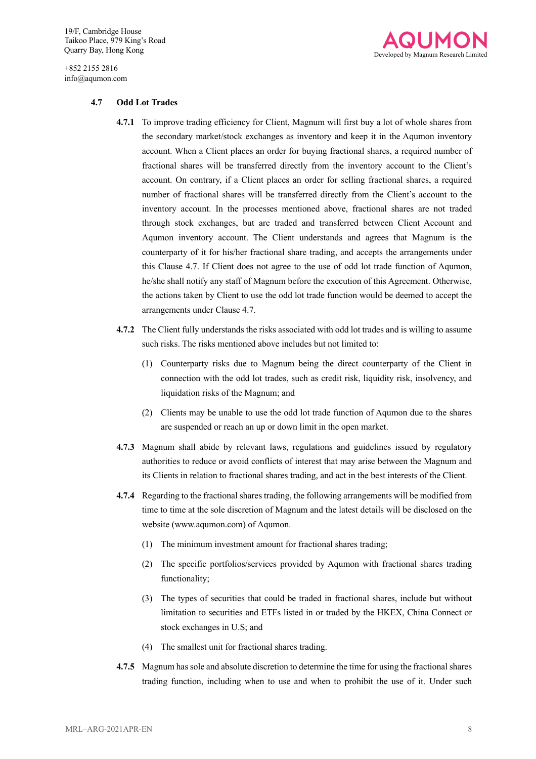+852 2155 2816 info@aqumon.com



#### **4.7 Odd Lot Trades**

- **4.7.1** To improve trading efficiency for Client, Magnum will first buy a lot of whole shares from the secondary market/stock exchanges as inventory and keep it in the Aqumon inventory account. When a Client places an order for buying fractional shares, a required number of fractional shares will be transferred directly from the inventory account to the Client's account. On contrary, if a Client places an order for selling fractional shares, a required number of fractional shares will be transferred directly from the Client's account to the inventory account. In the processes mentioned above, fractional shares are not traded through stock exchanges, but are traded and transferred between Client Account and Aqumon inventory account. The Client understands and agrees that Magnum is the counterparty of it for his/her fractional share trading, and accepts the arrangements under this Clause 4.7. If Client does not agree to the use of odd lot trade function of Aqumon, he/she shall notify any staff of Magnum before the execution of this Agreement. Otherwise, the actions taken by Client to use the odd lot trade function would be deemed to accept the arrangements under Clause 4.7.
- **4.7.2** The Client fully understands the risks associated with odd lot trades and is willing to assume such risks. The risks mentioned above includes but not limited to:
	- (1) Counterparty risks due to Magnum being the direct counterparty of the Client in connection with the odd lot trades, such as credit risk, liquidity risk, insolvency, and liquidation risks of the Magnum; and
	- (2) Clients may be unable to use the odd lot trade function of Aqumon due to the shares are suspended or reach an up or down limit in the open market.
- **4.7.3** Magnum shall abide by relevant laws, regulations and guidelines issued by regulatory authorities to reduce or avoid conflicts of interest that may arise between the Magnum and its Clients in relation to fractional shares trading, and act in the best interests of the Client.
- **4.7.4** Regarding to the fractional shares trading, the following arrangements will be modified from time to time at the sole discretion of Magnum and the latest details will be disclosed on the website (www.aqumon.com) of Aqumon.
	- (1) The minimum investment amount for fractional shares trading;
	- (2) The specific portfolios/services provided by Aqumon with fractional shares trading functionality;
	- (3) The types of securities that could be traded in fractional shares, include but without limitation to securities and ETFs listed in or traded by the HKEX, China Connect or stock exchanges in U.S; and
	- (4) The smallest unit for fractional shares trading.
- **4.7.5** Magnum has sole and absolute discretion to determine the time for using the fractional shares trading function, including when to use and when to prohibit the use of it. Under such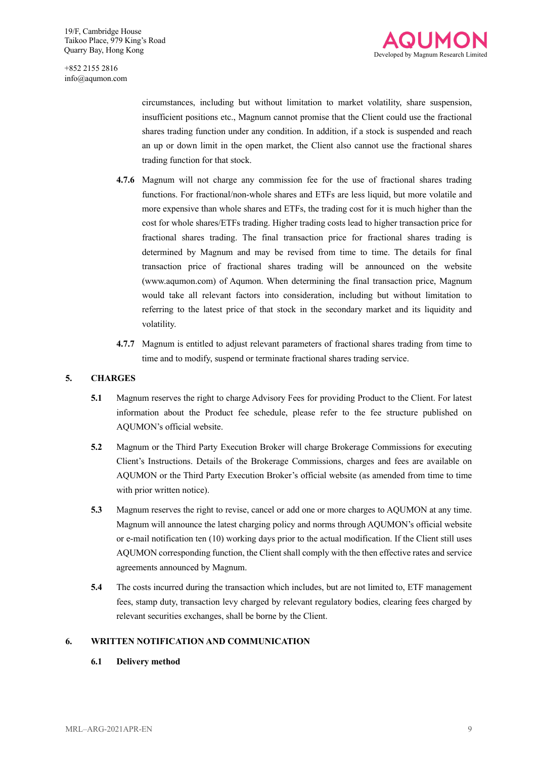

circumstances, including but without limitation to market volatility, share suspension, insufficient positions etc., Magnum cannot promise that the Client could use the fractional shares trading function under any condition. In addition, if a stock is suspended and reach an up or down limit in the open market, the Client also cannot use the fractional shares trading function for that stock.

- **4.7.6** Magnum will not charge any commission fee for the use of fractional shares trading functions. For fractional/non-whole shares and ETFs are less liquid, but more volatile and more expensive than whole shares and ETFs, the trading cost for it is much higher than the cost for whole shares/ETFs trading. Higher trading costs lead to higher transaction price for fractional shares trading. The final transaction price for fractional shares trading is determined by Magnum and may be revised from time to time. The details for final transaction price of fractional shares trading will be announced on the website (www.aqumon.com) of Aqumon. When determining the final transaction price, Magnum would take all relevant factors into consideration, including but without limitation to referring to the latest price of that stock in the secondary market and its liquidity and volatility.
- **4.7.7** Magnum is entitled to adjust relevant parameters of fractional shares trading from time to time and to modify, suspend or terminate fractional shares trading service.

#### **5. CHARGES**

- **5.1** Magnum reserves the right to charge Advisory Fees for providing Product to the Client. For latest information about the Product fee schedule, please refer to the fee structure published on AQUMON's official website.
- **5.2** Magnum or the Third Party Execution Broker will charge Brokerage Commissions for executing Client's Instructions. Details of the Brokerage Commissions, charges and fees are available on AQUMON or the Third Party Execution Broker's official website (as amended from time to time with prior written notice).
- **5.3** Magnum reserves the right to revise, cancel or add one or more charges to AQUMON at any time. Magnum will announce the latest charging policy and norms through AQUMON's official website or e-mail notification ten (10) working days prior to the actual modification. If the Client still uses AQUMON corresponding function, the Client shall comply with the then effective rates and service agreements announced by Magnum.
- **5.4** The costs incurred during the transaction which includes, but are not limited to, ETF management fees, stamp duty, transaction levy charged by relevant regulatory bodies, clearing fees charged by relevant securities exchanges, shall be borne by the Client.

#### **6. WRITTEN NOTIFICATION AND COMMUNICATION**

**6.1 Delivery method**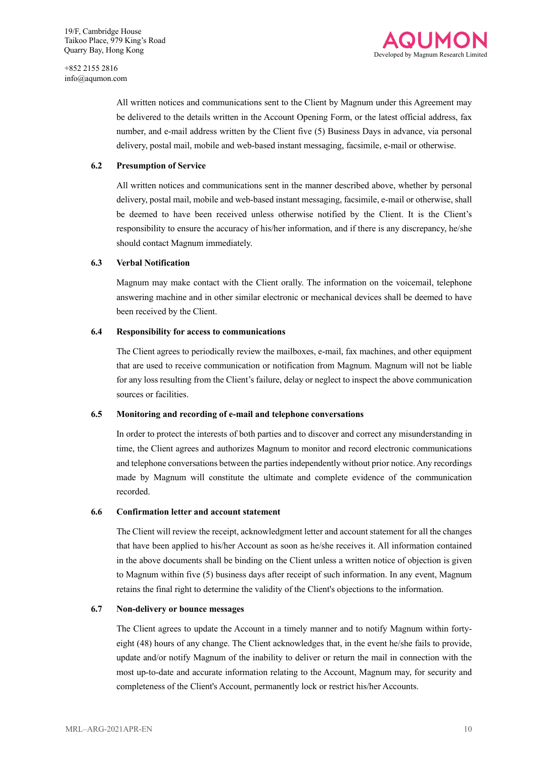

All written notices and communications sent to the Client by Magnum under this Agreement may be delivered to the details written in the Account Opening Form, or the latest official address, fax number, and e-mail address written by the Client five (5) Business Days in advance, via personal delivery, postal mail, mobile and web-based instant messaging, facsimile, e-mail or otherwise.

#### **6.2 Presumption of Service**

All written notices and communications sent in the manner described above, whether by personal delivery, postal mail, mobile and web-based instant messaging, facsimile, e-mail or otherwise, shall be deemed to have been received unless otherwise notified by the Client. It is the Client's responsibility to ensure the accuracy of his/her information, and if there is any discrepancy, he/she should contact Magnum immediately.

#### **6.3 Verbal Notification**

Magnum may make contact with the Client orally. The information on the voicemail, telephone answering machine and in other similar electronic or mechanical devices shall be deemed to have been received by the Client.

#### **6.4 Responsibility for access to communications**

The Client agrees to periodically review the mailboxes, e-mail, fax machines, and other equipment that are used to receive communication or notification from Magnum. Magnum will not be liable for any loss resulting from the Client's failure, delay or neglect to inspect the above communication sources or facilities.

#### **6.5 Monitoring and recording of e-mail and telephone conversations**

In order to protect the interests of both parties and to discover and correct any misunderstanding in time, the Client agrees and authorizes Magnum to monitor and record electronic communications and telephone conversations between the parties independently without prior notice. Any recordings made by Magnum will constitute the ultimate and complete evidence of the communication recorded.

#### **6.6 Confirmation letter and account statement**

The Client will review the receipt, acknowledgment letter and account statement for all the changes that have been applied to his/her Account as soon as he/she receives it. All information contained in the above documents shall be binding on the Client unless a written notice of objection is given to Magnum within five (5) business days after receipt of such information. In any event, Magnum retains the final right to determine the validity of the Client's objections to the information.

#### **6.7 Non-delivery or bounce messages**

The Client agrees to update the Account in a timely manner and to notify Magnum within fortyeight (48) hours of any change. The Client acknowledges that, in the event he/she fails to provide, update and/or notify Magnum of the inability to deliver or return the mail in connection with the most up-to-date and accurate information relating to the Account, Magnum may, for security and completeness of the Client's Account, permanently lock or restrict his/her Accounts.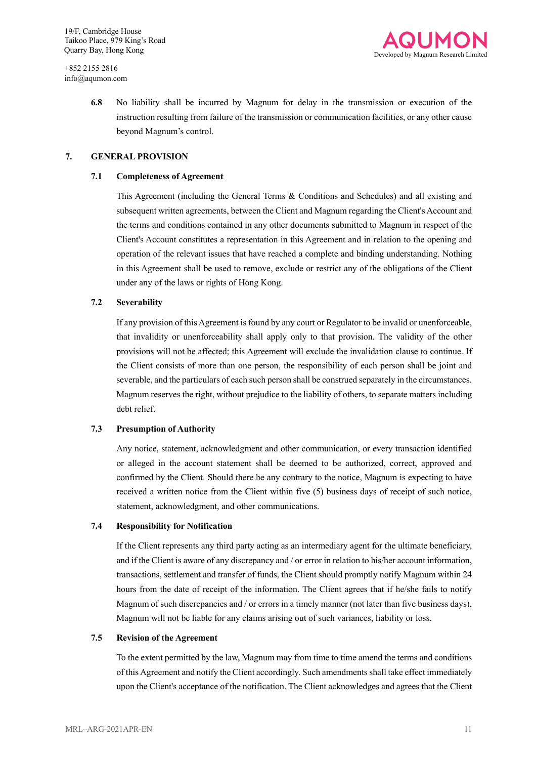

**6.8** No liability shall be incurred by Magnum for delay in the transmission or execution of the instruction resulting from failure of the transmission or communication facilities, or any other cause beyond Magnum's control.

#### **7. GENERAL PROVISION**

#### **7.1 Completeness of Agreement**

This Agreement (including the General Terms & Conditions and Schedules) and all existing and subsequent written agreements, between the Client and Magnum regarding the Client's Account and the terms and conditions contained in any other documents submitted to Magnum in respect of the Client's Account constitutes a representation in this Agreement and in relation to the opening and operation of the relevant issues that have reached a complete and binding understanding. Nothing in this Agreement shall be used to remove, exclude or restrict any of the obligations of the Client under any of the laws or rights of Hong Kong.

#### **7.2 Severability**

If any provision of this Agreement is found by any court or Regulator to be invalid or unenforceable, that invalidity or unenforceability shall apply only to that provision. The validity of the other provisions will not be affected; this Agreement will exclude the invalidation clause to continue. If the Client consists of more than one person, the responsibility of each person shall be joint and severable, and the particulars of each such person shall be construed separately in the circumstances. Magnum reserves the right, without prejudice to the liability of others, to separate matters including debt relief.

#### **7.3 Presumption of Authority**

Any notice, statement, acknowledgment and other communication, or every transaction identified or alleged in the account statement shall be deemed to be authorized, correct, approved and confirmed by the Client. Should there be any contrary to the notice, Magnum is expecting to have received a written notice from the Client within five (5) business days of receipt of such notice, statement, acknowledgment, and other communications.

#### **7.4 Responsibility for Notification**

If the Client represents any third party acting as an intermediary agent for the ultimate beneficiary, and if the Client is aware of any discrepancy and / or error in relation to his/her account information, transactions, settlement and transfer of funds, the Client should promptly notify Magnum within 24 hours from the date of receipt of the information. The Client agrees that if he/she fails to notify Magnum of such discrepancies and / or errors in a timely manner (not later than five business days), Magnum will not be liable for any claims arising out of such variances, liability or loss.

#### **7.5 Revision of the Agreement**

To the extent permitted by the law, Magnum may from time to time amend the terms and conditions of this Agreement and notify the Client accordingly. Such amendments shall take effect immediately upon the Client's acceptance of the notification. The Client acknowledges and agrees that the Client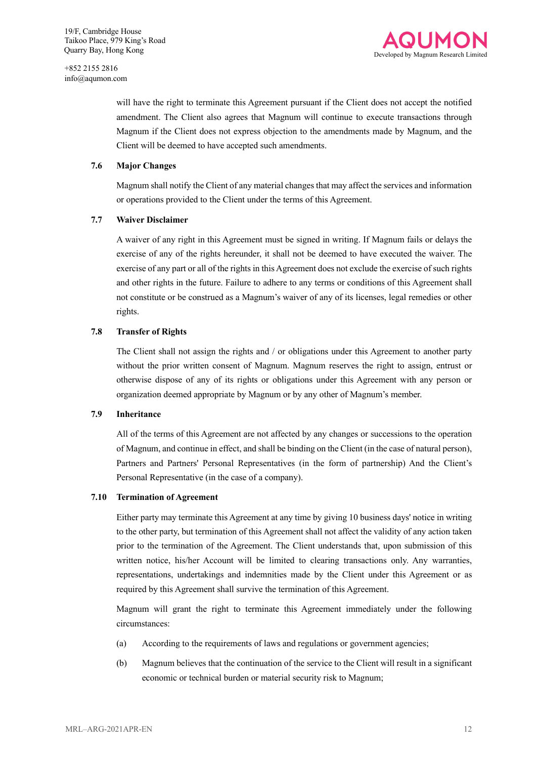

will have the right to terminate this Agreement pursuant if the Client does not accept the notified amendment. The Client also agrees that Magnum will continue to execute transactions through Magnum if the Client does not express objection to the amendments made by Magnum, and the Client will be deemed to have accepted such amendments.

#### **7.6 Major Changes**

Magnum shall notify the Client of any material changes that may affect the services and information or operations provided to the Client under the terms of this Agreement.

#### **7.7 Waiver Disclaimer**

A waiver of any right in this Agreement must be signed in writing. If Magnum fails or delays the exercise of any of the rights hereunder, it shall not be deemed to have executed the waiver. The exercise of any part or all of the rights in this Agreement does not exclude the exercise of such rights and other rights in the future. Failure to adhere to any terms or conditions of this Agreement shall not constitute or be construed as a Magnum's waiver of any of its licenses, legal remedies or other rights.

#### **7.8 Transfer of Rights**

The Client shall not assign the rights and / or obligations under this Agreement to another party without the prior written consent of Magnum. Magnum reserves the right to assign, entrust or otherwise dispose of any of its rights or obligations under this Agreement with any person or organization deemed appropriate by Magnum or by any other of Magnum's member.

#### **7.9 Inheritance**

All of the terms of this Agreement are not affected by any changes or successions to the operation of Magnum, and continue in effect, and shall be binding on the Client (in the case of natural person), Partners and Partners' Personal Representatives (in the form of partnership) And the Client's Personal Representative (in the case of a company).

#### **7.10 Termination of Agreement**

Either party may terminate this Agreement at any time by giving 10 business days' notice in writing to the other party, but termination of this Agreement shall not affect the validity of any action taken prior to the termination of the Agreement. The Client understands that, upon submission of this written notice, his/her Account will be limited to clearing transactions only. Any warranties, representations, undertakings and indemnities made by the Client under this Agreement or as required by this Agreement shall survive the termination of this Agreement.

Magnum will grant the right to terminate this Agreement immediately under the following circumstances:

- (a) According to the requirements of laws and regulations or government agencies;
- (b) Magnum believes that the continuation of the service to the Client will result in a significant economic or technical burden or material security risk to Magnum;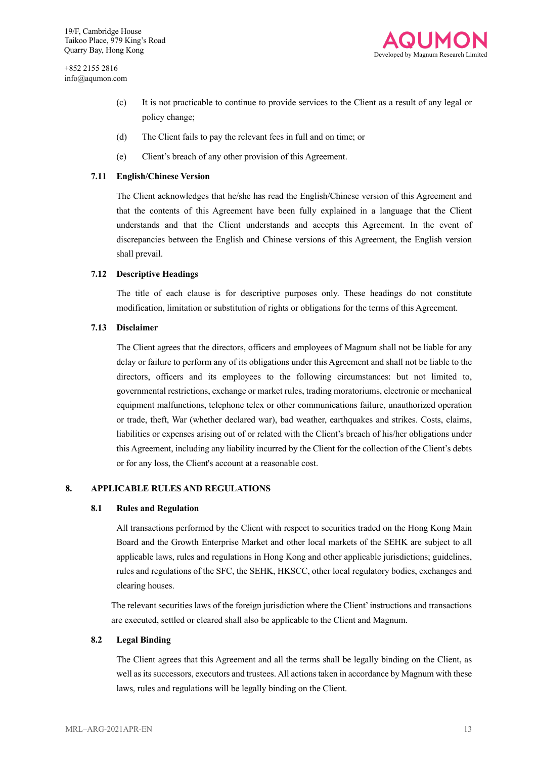

- (c) It is not practicable to continue to provide services to the Client as a result of any legal or policy change;
- (d) The Client fails to pay the relevant fees in full and on time; or
- (e) Client's breach of any other provision of this Agreement.

#### **7.11 English/Chinese Version**

The Client acknowledges that he/she has read the English/Chinese version of this Agreement and that the contents of this Agreement have been fully explained in a language that the Client understands and that the Client understands and accepts this Agreement. In the event of discrepancies between the English and Chinese versions of this Agreement, the English version shall prevail.

#### **7.12 Descriptive Headings**

The title of each clause is for descriptive purposes only. These headings do not constitute modification, limitation or substitution of rights or obligations for the terms of this Agreement.

#### **7.13 Disclaimer**

The Client agrees that the directors, officers and employees of Magnum shall not be liable for any delay or failure to perform any of its obligations under this Agreement and shall not be liable to the directors, officers and its employees to the following circumstances: but not limited to, governmental restrictions, exchange or market rules, trading moratoriums, electronic or mechanical equipment malfunctions, telephone telex or other communications failure, unauthorized operation or trade, theft, War (whether declared war), bad weather, earthquakes and strikes. Costs, claims, liabilities or expenses arising out of or related with the Client's breach of his/her obligations under this Agreement, including any liability incurred by the Client for the collection of the Client's debts or for any loss, the Client's account at a reasonable cost.

#### **8. APPLICABLE RULES AND REGULATIONS**

#### **8.1 Rules and Regulation**

All transactions performed by the Client with respect to securities traded on the Hong Kong Main Board and the Growth Enterprise Market and other local markets of the SEHK are subject to all applicable laws, rules and regulations in Hong Kong and other applicable jurisdictions; guidelines, rules and regulations of the SFC, the SEHK, HKSCC, other local regulatory bodies, exchanges and clearing houses.

The relevant securities laws of the foreign jurisdiction where the Client' instructions and transactions are executed, settled or cleared shall also be applicable to the Client and Magnum.

#### **8.2 Legal Binding**

The Client agrees that this Agreement and all the terms shall be legally binding on the Client, as well as its successors, executors and trustees. All actions taken in accordance by Magnum with these laws, rules and regulations will be legally binding on the Client.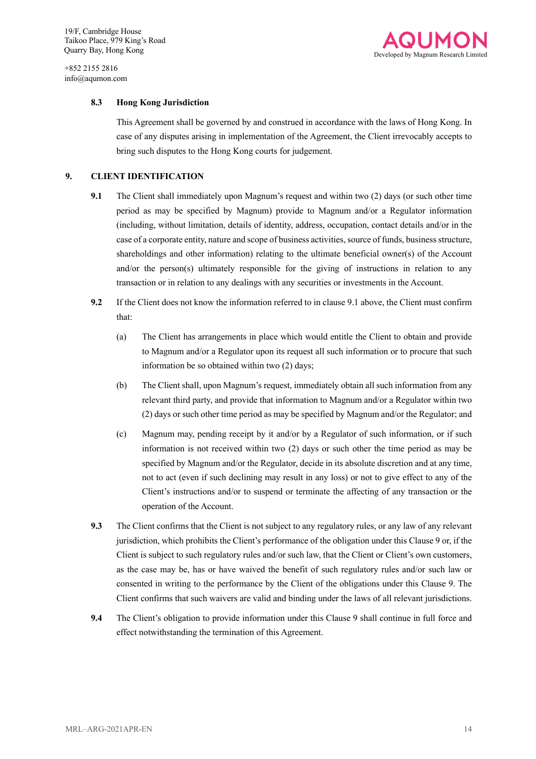

#### **8.3 Hong Kong Jurisdiction**

This Agreement shall be governed by and construed in accordance with the laws of Hong Kong. In case of any disputes arising in implementation of the Agreement, the Client irrevocably accepts to bring such disputes to the Hong Kong courts for judgement.

#### **9. CLIENT IDENTIFICATION**

- **9.1** The Client shall immediately upon Magnum's request and within two (2) days (or such other time period as may be specified by Magnum) provide to Magnum and/or a Regulator information (including, without limitation, details of identity, address, occupation, contact details and/or in the case of a corporate entity, nature and scope of business activities, source of funds, business structure, shareholdings and other information) relating to the ultimate beneficial owner(s) of the Account and/or the person(s) ultimately responsible for the giving of instructions in relation to any transaction or in relation to any dealings with any securities or investments in the Account.
- **9.2** If the Client does not know the information referred to in clause 9.1 above, the Client must confirm that:
	- (a) The Client has arrangements in place which would entitle the Client to obtain and provide to Magnum and/or a Regulator upon its request all such information or to procure that such information be so obtained within two (2) days;
	- (b) The Client shall, upon Magnum's request, immediately obtain all such information from any relevant third party, and provide that information to Magnum and/or a Regulator within two (2) days or such other time period as may be specified by Magnum and/or the Regulator; and
	- (c) Magnum may, pending receipt by it and/or by a Regulator of such information, or if such information is not received within two (2) days or such other the time period as may be specified by Magnum and/or the Regulator, decide in its absolute discretion and at any time, not to act (even if such declining may result in any loss) or not to give effect to any of the Client's instructions and/or to suspend or terminate the affecting of any transaction or the operation of the Account.
- **9.3** The Client confirms that the Client is not subject to any regulatory rules, or any law of any relevant jurisdiction, which prohibits the Client's performance of the obligation under this Clause 9 or, if the Client is subject to such regulatory rules and/or such law, that the Client or Client's own customers, as the case may be, has or have waived the benefit of such regulatory rules and/or such law or consented in writing to the performance by the Client of the obligations under this Clause 9. The Client confirms that such waivers are valid and binding under the laws of all relevant jurisdictions.
- **9.4** The Client's obligation to provide information under this Clause 9 shall continue in full force and effect notwithstanding the termination of this Agreement.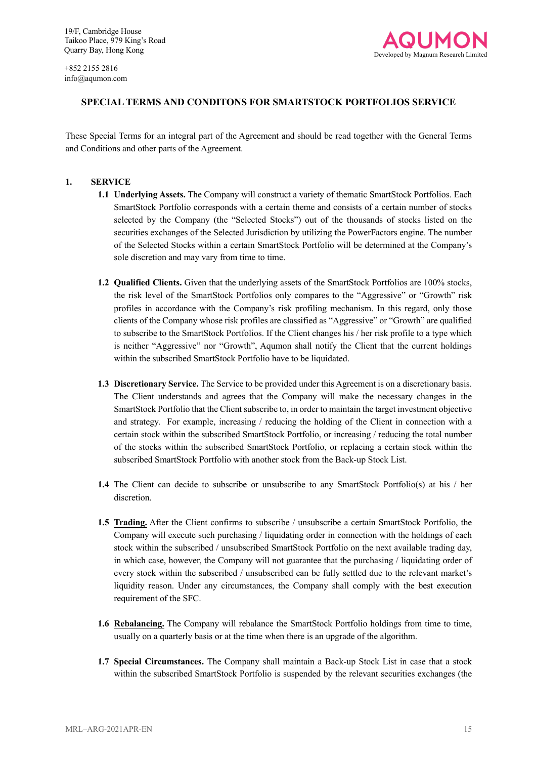

### **SPECIAL TERMS AND CONDITONS FOR SMARTSTOCK PORTFOLIOS SERVICE**

These Special Terms for an integral part of the Agreement and should be read together with the General Terms and Conditions and other parts of the Agreement.

#### **1. SERVICE**

- **1.1 Underlying Assets.** The Company will construct a variety of thematic SmartStock Portfolios. Each SmartStock Portfolio corresponds with a certain theme and consists of a certain number of stocks selected by the Company (the "Selected Stocks") out of the thousands of stocks listed on the securities exchanges of the Selected Jurisdiction by utilizing the PowerFactors engine. The number of the Selected Stocks within a certain SmartStock Portfolio will be determined at the Company's sole discretion and may vary from time to time.
- **1.2 Qualified Clients.** Given that the underlying assets of the SmartStock Portfolios are 100% stocks, the risk level of the SmartStock Portfolios only compares to the "Aggressive" or "Growth" risk profiles in accordance with the Company's risk profiling mechanism. In this regard, only those clients of the Company whose risk profiles are classified as "Aggressive" or "Growth" are qualified to subscribe to the SmartStock Portfolios. If the Client changes his / her risk profile to a type which is neither "Aggressive" nor "Growth", Aqumon shall notify the Client that the current holdings within the subscribed SmartStock Portfolio have to be liquidated.
- **1.3 Discretionary Service.** The Service to be provided under this Agreement is on a discretionary basis. The Client understands and agrees that the Company will make the necessary changes in the SmartStock Portfolio that the Client subscribe to, in order to maintain the target investment objective and strategy. For example, increasing / reducing the holding of the Client in connection with a certain stock within the subscribed SmartStock Portfolio, or increasing / reducing the total number of the stocks within the subscribed SmartStock Portfolio, or replacing a certain stock within the subscribed SmartStock Portfolio with another stock from the Back-up Stock List.
- **1.4** The Client can decide to subscribe or unsubscribe to any SmartStock Portfolio(s) at his / her discretion.
- **1.5 Trading.** After the Client confirms to subscribe / unsubscribe a certain SmartStock Portfolio, the Company will execute such purchasing / liquidating order in connection with the holdings of each stock within the subscribed / unsubscribed SmartStock Portfolio on the next available trading day, in which case, however, the Company will not guarantee that the purchasing / liquidating order of every stock within the subscribed / unsubscribed can be fully settled due to the relevant market's liquidity reason. Under any circumstances, the Company shall comply with the best execution requirement of the SFC.
- **1.6 Rebalancing.** The Company will rebalance the SmartStock Portfolio holdings from time to time, usually on a quarterly basis or at the time when there is an upgrade of the algorithm.
- **1.7 Special Circumstances.** The Company shall maintain a Back-up Stock List in case that a stock within the subscribed SmartStock Portfolio is suspended by the relevant securities exchanges (the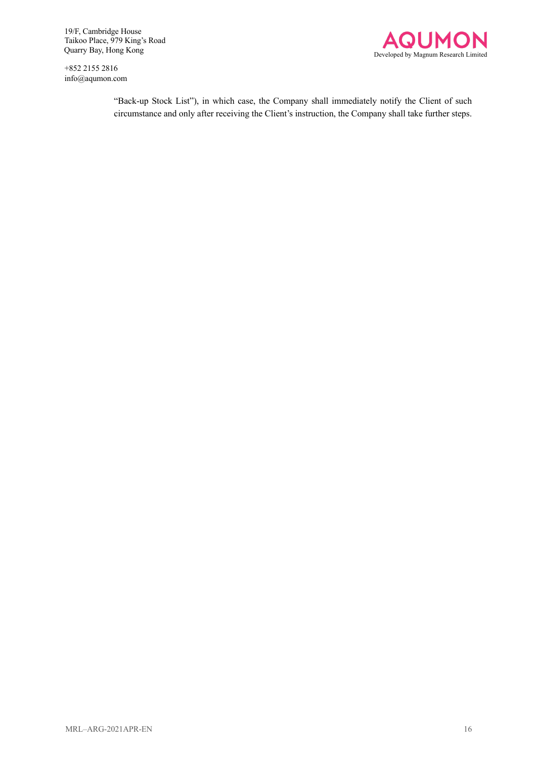+852 2155 2816 info@aqumon.com



"Back-up Stock List"), in which case, the Company shall immediately notify the Client of such circumstance and only after receiving the Client's instruction, the Company shall take further steps.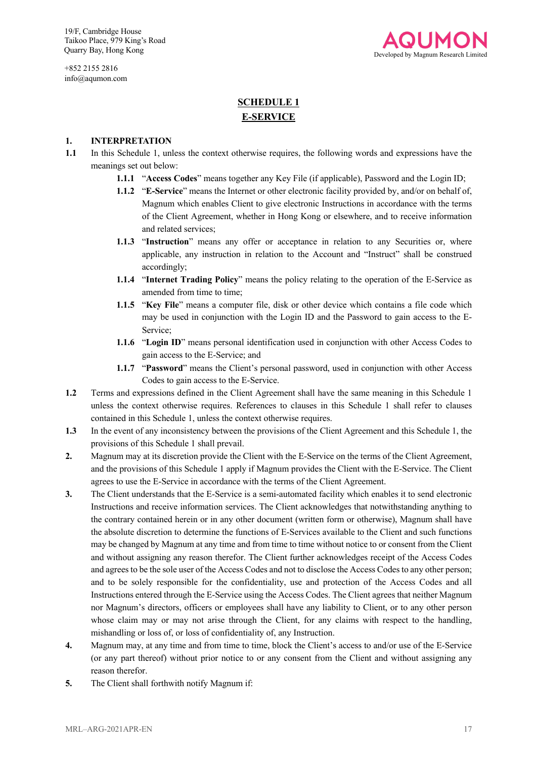+852 2155 2816 info@aqumon.com



## **SCHEDULE 1 E-SERVICE**

#### **1. INTERPRETATION**

- **1.1** In this Schedule 1, unless the context otherwise requires, the following words and expressions have the meanings set out below:
	- **1.1.1** "**Access Codes**" means together any Key File (if applicable), Password and the Login ID;
	- **1.1.2** "**E-Service**" means the Internet or other electronic facility provided by, and/or on behalf of, Magnum which enables Client to give electronic Instructions in accordance with the terms of the Client Agreement, whether in Hong Kong or elsewhere, and to receive information and related services;
	- **1.1.3** "Instruction" means any offer or acceptance in relation to any Securities or, where applicable, any instruction in relation to the Account and "Instruct" shall be construed accordingly;
	- **1.1.4** "**Internet Trading Policy**" means the policy relating to the operation of the E-Service as amended from time to time;
	- **1.1.5** "**Key File**" means a computer file, disk or other device which contains a file code which may be used in conjunction with the Login ID and the Password to gain access to the E-Service;
	- **1.1.6** "**Login ID**" means personal identification used in conjunction with other Access Codes to gain access to the E-Service; and
	- **1.1.7** "**Password**" means the Client's personal password, used in conjunction with other Access Codes to gain access to the E-Service.
- **1.2** Terms and expressions defined in the Client Agreement shall have the same meaning in this Schedule 1 unless the context otherwise requires. References to clauses in this Schedule 1 shall refer to clauses contained in this Schedule 1, unless the context otherwise requires.
- **1.3** In the event of any inconsistency between the provisions of the Client Agreement and this Schedule 1, the provisions of this Schedule 1 shall prevail.
- **2.** Magnum may at its discretion provide the Client with the E-Service on the terms of the Client Agreement, and the provisions of this Schedule 1 apply if Magnum provides the Client with the E-Service. The Client agrees to use the E-Service in accordance with the terms of the Client Agreement.
- **3.** The Client understands that the E-Service is a semi-automated facility which enables it to send electronic Instructions and receive information services. The Client acknowledges that notwithstanding anything to the contrary contained herein or in any other document (written form or otherwise), Magnum shall have the absolute discretion to determine the functions of E-Services available to the Client and such functions may be changed by Magnum at any time and from time to time without notice to or consent from the Client and without assigning any reason therefor. The Client further acknowledges receipt of the Access Codes and agrees to be the sole user of the Access Codes and not to disclose the Access Codes to any other person; and to be solely responsible for the confidentiality, use and protection of the Access Codes and all Instructions entered through the E-Service using the Access Codes. The Client agrees that neither Magnum nor Magnum's directors, officers or employees shall have any liability to Client, or to any other person whose claim may or may not arise through the Client, for any claims with respect to the handling, mishandling or loss of, or loss of confidentiality of, any Instruction.
- **4.** Magnum may, at any time and from time to time, block the Client's access to and/or use of the E-Service (or any part thereof) without prior notice to or any consent from the Client and without assigning any reason therefor.
- **5.** The Client shall forthwith notify Magnum if: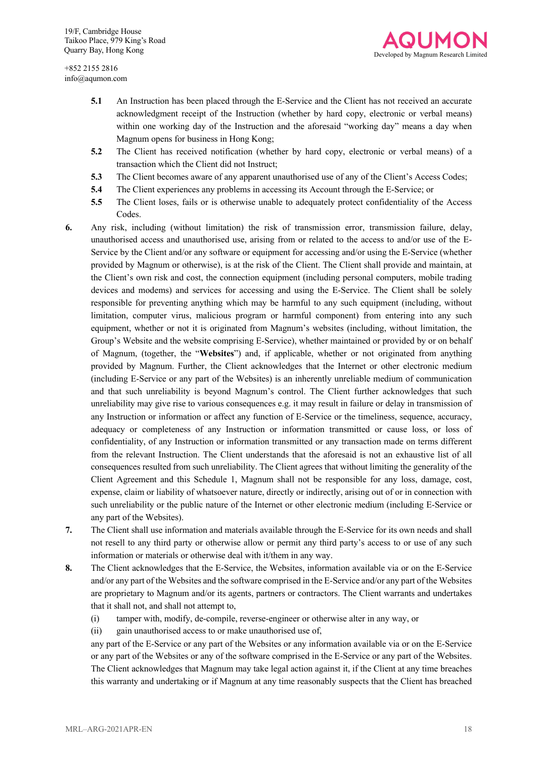

- **5.1** An Instruction has been placed through the E-Service and the Client has not received an accurate acknowledgment receipt of the Instruction (whether by hard copy, electronic or verbal means) within one working day of the Instruction and the aforesaid "working day" means a day when Magnum opens for business in Hong Kong;
- **5.2** The Client has received notification (whether by hard copy, electronic or verbal means) of a transaction which the Client did not Instruct;
- **5.3** The Client becomes aware of any apparent unauthorised use of any of the Client's Access Codes;
- **5.4** The Client experiences any problems in accessing its Account through the E-Service; or
- **5.5** The Client loses, fails or is otherwise unable to adequately protect confidentiality of the Access Codes.
- **6.** Any risk, including (without limitation) the risk of transmission error, transmission failure, delay, unauthorised access and unauthorised use, arising from or related to the access to and/or use of the E-Service by the Client and/or any software or equipment for accessing and/or using the E-Service (whether provided by Magnum or otherwise), is at the risk of the Client. The Client shall provide and maintain, at the Client's own risk and cost, the connection equipment (including personal computers, mobile trading devices and modems) and services for accessing and using the E-Service. The Client shall be solely responsible for preventing anything which may be harmful to any such equipment (including, without limitation, computer virus, malicious program or harmful component) from entering into any such equipment, whether or not it is originated from Magnum's websites (including, without limitation, the Group's Website and the website comprising E-Service), whether maintained or provided by or on behalf of Magnum, (together, the "**Websites**") and, if applicable, whether or not originated from anything provided by Magnum. Further, the Client acknowledges that the Internet or other electronic medium (including E-Service or any part of the Websites) is an inherently unreliable medium of communication and that such unreliability is beyond Magnum's control. The Client further acknowledges that such unreliability may give rise to various consequences e.g. it may result in failure or delay in transmission of any Instruction or information or affect any function of E-Service or the timeliness, sequence, accuracy, adequacy or completeness of any Instruction or information transmitted or cause loss, or loss of confidentiality, of any Instruction or information transmitted or any transaction made on terms different from the relevant Instruction. The Client understands that the aforesaid is not an exhaustive list of all consequences resulted from such unreliability. The Client agrees that without limiting the generality of the Client Agreement and this Schedule 1, Magnum shall not be responsible for any loss, damage, cost, expense, claim or liability of whatsoever nature, directly or indirectly, arising out of or in connection with such unreliability or the public nature of the Internet or other electronic medium (including E-Service or any part of the Websites).
- **7.** The Client shall use information and materials available through the E-Service for its own needs and shall not resell to any third party or otherwise allow or permit any third party's access to or use of any such information or materials or otherwise deal with it/them in any way.
- **8.** The Client acknowledges that the E-Service, the Websites, information available via or on the E-Service and/or any part of the Websites and the software comprised in the E-Service and/or any part of the Websites are proprietary to Magnum and/or its agents, partners or contractors. The Client warrants and undertakes that it shall not, and shall not attempt to,
	- (i) tamper with, modify, de-compile, reverse-engineer or otherwise alter in any way, or
	- (ii) gain unauthorised access to or make unauthorised use of,

any part of the E-Service or any part of the Websites or any information available via or on the E-Service or any part of the Websites or any of the software comprised in the E-Service or any part of the Websites. The Client acknowledges that Magnum may take legal action against it, if the Client at any time breaches this warranty and undertaking or if Magnum at any time reasonably suspects that the Client has breached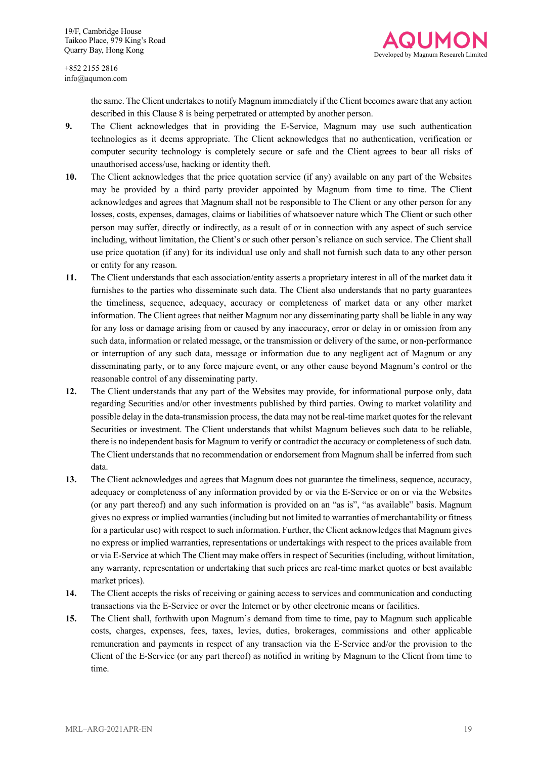



the same. The Client undertakes to notify Magnum immediately if the Client becomes aware that any action described in this Clause 8 is being perpetrated or attempted by another person.

- **9.** The Client acknowledges that in providing the E-Service, Magnum may use such authentication technologies as it deems appropriate. The Client acknowledges that no authentication, verification or computer security technology is completely secure or safe and the Client agrees to bear all risks of unauthorised access/use, hacking or identity theft.
- **10.** The Client acknowledges that the price quotation service (if any) available on any part of the Websites may be provided by a third party provider appointed by Magnum from time to time. The Client acknowledges and agrees that Magnum shall not be responsible to The Client or any other person for any losses, costs, expenses, damages, claims or liabilities of whatsoever nature which The Client or such other person may suffer, directly or indirectly, as a result of or in connection with any aspect of such service including, without limitation, the Client's or such other person's reliance on such service. The Client shall use price quotation (if any) for its individual use only and shall not furnish such data to any other person or entity for any reason.
- **11.** The Client understands that each association/entity asserts a proprietary interest in all of the market data it furnishes to the parties who disseminate such data. The Client also understands that no party guarantees the timeliness, sequence, adequacy, accuracy or completeness of market data or any other market information. The Client agrees that neither Magnum nor any disseminating party shall be liable in any way for any loss or damage arising from or caused by any inaccuracy, error or delay in or omission from any such data, information or related message, or the transmission or delivery of the same, or non-performance or interruption of any such data, message or information due to any negligent act of Magnum or any disseminating party, or to any force majeure event, or any other cause beyond Magnum's control or the reasonable control of any disseminating party.
- **12.** The Client understands that any part of the Websites may provide, for informational purpose only, data regarding Securities and/or other investments published by third parties. Owing to market volatility and possible delay in the data-transmission process, the data may not be real-time market quotes for the relevant Securities or investment. The Client understands that whilst Magnum believes such data to be reliable, there is no independent basis for Magnum to verify or contradict the accuracy or completeness of such data. The Client understands that no recommendation or endorsement from Magnum shall be inferred from such data.
- **13.** The Client acknowledges and agrees that Magnum does not guarantee the timeliness, sequence, accuracy, adequacy or completeness of any information provided by or via the E-Service or on or via the Websites (or any part thereof) and any such information is provided on an "as is", "as available" basis. Magnum gives no express or implied warranties (including but not limited to warranties of merchantability or fitness for a particular use) with respect to such information. Further, the Client acknowledges that Magnum gives no express or implied warranties, representations or undertakings with respect to the prices available from or via E-Service at which The Client may make offers in respect of Securities (including, without limitation, any warranty, representation or undertaking that such prices are real-time market quotes or best available market prices).
- **14.** The Client accepts the risks of receiving or gaining access to services and communication and conducting transactions via the E-Service or over the Internet or by other electronic means or facilities.
- **15.** The Client shall, forthwith upon Magnum's demand from time to time, pay to Magnum such applicable costs, charges, expenses, fees, taxes, levies, duties, brokerages, commissions and other applicable remuneration and payments in respect of any transaction via the E-Service and/or the provision to the Client of the E-Service (or any part thereof) as notified in writing by Magnum to the Client from time to time.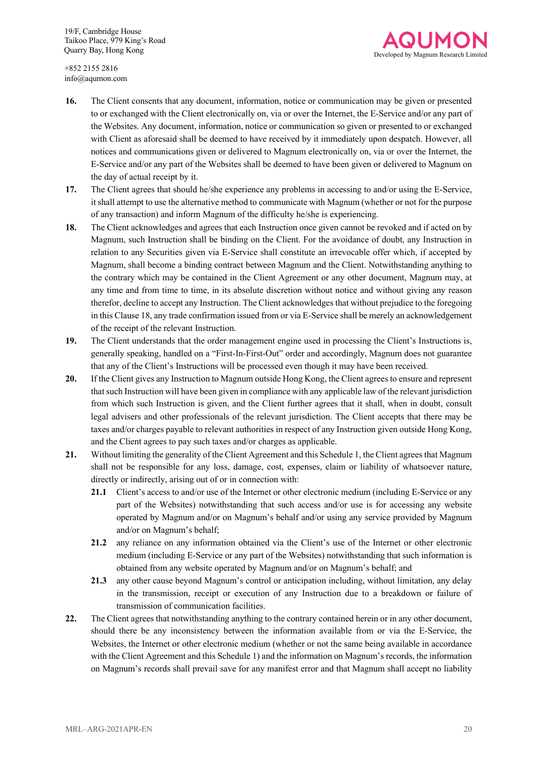

- **16.** The Client consents that any document, information, notice or communication may be given or presented to or exchanged with the Client electronically on, via or over the Internet, the E-Service and/or any part of the Websites. Any document, information, notice or communication so given or presented to or exchanged with Client as aforesaid shall be deemed to have received by it immediately upon despatch. However, all notices and communications given or delivered to Magnum electronically on, via or over the Internet, the E-Service and/or any part of the Websites shall be deemed to have been given or delivered to Magnum on the day of actual receipt by it.
- **17.** The Client agrees that should he/she experience any problems in accessing to and/or using the E-Service, it shall attempt to use the alternative method to communicate with Magnum (whether or not for the purpose of any transaction) and inform Magnum of the difficulty he/she is experiencing.
- **18.** The Client acknowledges and agrees that each Instruction once given cannot be revoked and if acted on by Magnum, such Instruction shall be binding on the Client. For the avoidance of doubt, any Instruction in relation to any Securities given via E-Service shall constitute an irrevocable offer which, if accepted by Magnum, shall become a binding contract between Magnum and the Client. Notwithstanding anything to the contrary which may be contained in the Client Agreement or any other document, Magnum may, at any time and from time to time, in its absolute discretion without notice and without giving any reason therefor, decline to accept any Instruction. The Client acknowledges that without prejudice to the foregoing in this Clause 18, any trade confirmation issued from or via E-Service shall be merely an acknowledgement of the receipt of the relevant Instruction.
- **19.** The Client understands that the order management engine used in processing the Client's Instructions is, generally speaking, handled on a "First-In-First-Out" order and accordingly, Magnum does not guarantee that any of the Client's Instructions will be processed even though it may have been received.
- **20.** If the Client gives any Instruction to Magnum outside Hong Kong, the Client agrees to ensure and represent that such Instruction will have been given in compliance with any applicable law of the relevant jurisdiction from which such Instruction is given, and the Client further agrees that it shall, when in doubt, consult legal advisers and other professionals of the relevant jurisdiction. The Client accepts that there may be taxes and/or charges payable to relevant authorities in respect of any Instruction given outside Hong Kong, and the Client agrees to pay such taxes and/or charges as applicable.
- **21.** Without limiting the generality of the Client Agreement and this Schedule 1, the Client agrees that Magnum shall not be responsible for any loss, damage, cost, expenses, claim or liability of whatsoever nature, directly or indirectly, arising out of or in connection with:
	- **21.1** Client's access to and/or use of the Internet or other electronic medium (including E-Service or any part of the Websites) notwithstanding that such access and/or use is for accessing any website operated by Magnum and/or on Magnum's behalf and/or using any service provided by Magnum and/or on Magnum's behalf;
	- **21.2** any reliance on any information obtained via the Client's use of the Internet or other electronic medium (including E-Service or any part of the Websites) notwithstanding that such information is obtained from any website operated by Magnum and/or on Magnum's behalf; and
	- **21.3** any other cause beyond Magnum's control or anticipation including, without limitation, any delay in the transmission, receipt or execution of any Instruction due to a breakdown or failure of transmission of communication facilities.
- **22.** The Client agrees that notwithstanding anything to the contrary contained herein or in any other document, should there be any inconsistency between the information available from or via the E-Service, the Websites, the Internet or other electronic medium (whether or not the same being available in accordance with the Client Agreement and this Schedule 1) and the information on Magnum's records, the information on Magnum's records shall prevail save for any manifest error and that Magnum shall accept no liability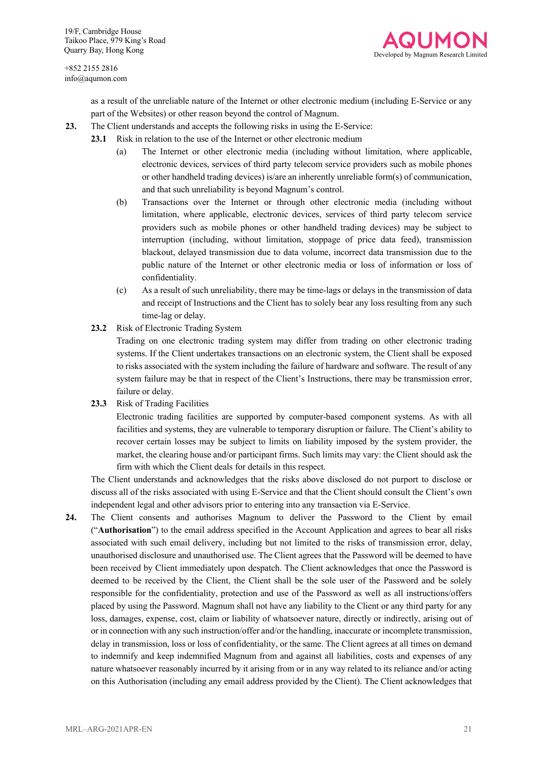

as a result of the unreliable nature of the Internet or other electronic medium (including E-Service or any part of the Websites) or other reason beyond the control of Magnum.

- **23.** The Client understands and accepts the following risks in using the E-Service:
	- **23.1** Risk in relation to the use of the Internet or other electronic medium
		- (a) The Internet or other electronic media (including without limitation, where applicable, electronic devices, services of third party telecom service providers such as mobile phones or other handheld trading devices) is/are an inherently unreliable form(s) of communication, and that such unreliability is beyond Magnum's control.
		- (b) Transactions over the Internet or through other electronic media (including without limitation, where applicable, electronic devices, services of third party telecom service providers such as mobile phones or other handheld trading devices) may be subject to interruption (including, without limitation, stoppage of price data feed), transmission blackout, delayed transmission due to data volume, incorrect data transmission due to the public nature of the Internet or other electronic media or loss of information or loss of confidentiality.
		- (c) As a result of such unreliability, there may be time-lags or delays in the transmission of data and receipt of Instructions and the Client has to solely bear any loss resulting from any such time-lag or delay.
		- **23.2** Risk of Electronic Trading System

Trading on one electronic trading system may differ from trading on other electronic trading systems. If the Client undertakes transactions on an electronic system, the Client shall be exposed to risks associated with the system including the failure of hardware and software. The result of any system failure may be that in respect of the Client's Instructions, there may be transmission error, failure or delay.

**23.3** Risk of Trading Facilities

Electronic trading facilities are supported by computer-based component systems. As with all facilities and systems, they are vulnerable to temporary disruption or failure. The Client's ability to recover certain losses may be subject to limits on liability imposed by the system provider, the market, the clearing house and/or participant firms. Such limits may vary: the Client should ask the firm with which the Client deals for details in this respect.

The Client understands and acknowledges that the risks above disclosed do not purport to disclose or discuss all of the risks associated with using E-Service and that the Client should consult the Client's own independent legal and other advisors prior to entering into any transaction via E-Service.

**24.** The Client consents and authorises Magnum to deliver the Password to the Client by email ("**Authorisation**") to the email address specified in the Account Application and agrees to bear all risks associated with such email delivery, including but not limited to the risks of transmission error, delay, unauthorised disclosure and unauthorised use. The Client agrees that the Password will be deemed to have been received by Client immediately upon despatch. The Client acknowledges that once the Password is deemed to be received by the Client, the Client shall be the sole user of the Password and be solely responsible for the confidentiality, protection and use of the Password as well as all instructions/offers placed by using the Password. Magnum shall not have any liability to the Client or any third party for any loss, damages, expense, cost, claim or liability of whatsoever nature, directly or indirectly, arising out of or in connection with any such instruction/offer and/or the handling, inaccurate or incomplete transmission, delay in transmission, loss or loss of confidentiality, or the same. The Client agrees at all times on demand to indemnify and keep indemnified Magnum from and against all liabilities, costs and expenses of any nature whatsoever reasonably incurred by it arising from or in any way related to its reliance and/or acting on this Authorisation (including any email address provided by the Client). The Client acknowledges that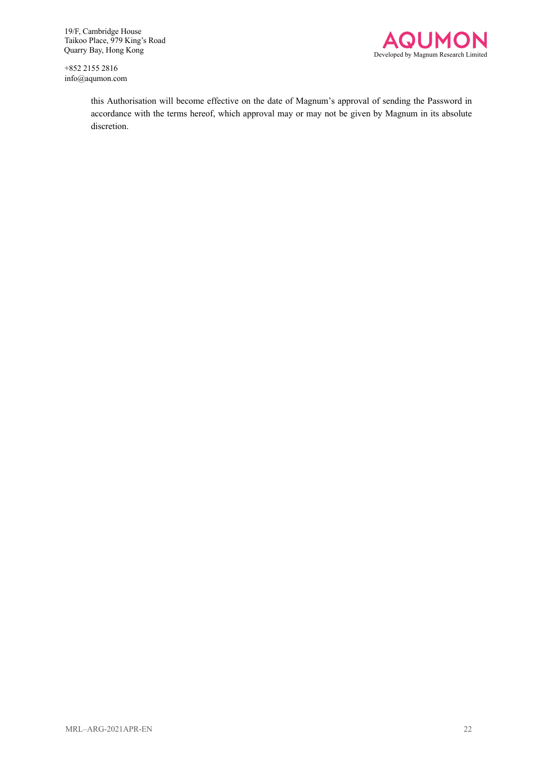+852 2155 2816 info@aqumon.com



this Authorisation will become effective on the date of Magnum's approval of sending the Password in accordance with the terms hereof, which approval may or may not be given by Magnum in its absolute discretion.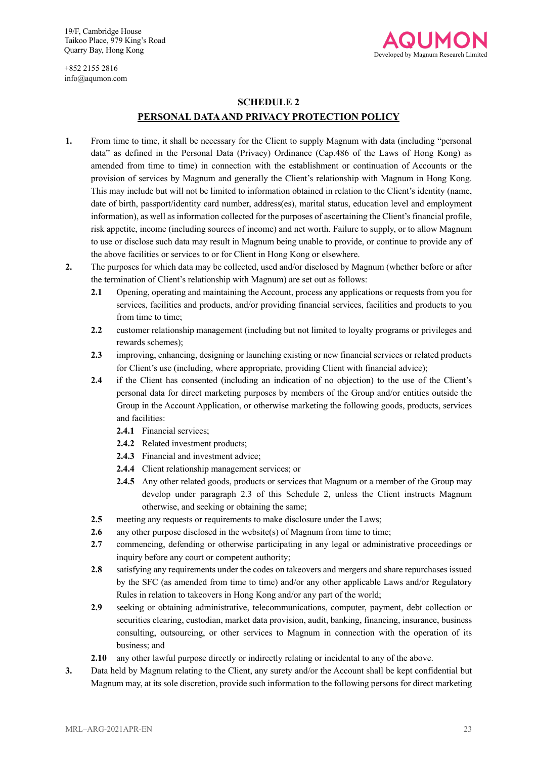Developed by Magnum Research Limited

+852 2155 2816 info@aqumon.com

## **SCHEDULE 2 PERSONAL DATAAND PRIVACY PROTECTION POLICY**

- **1.** From time to time, it shall be necessary for the Client to supply Magnum with data (including "personal data" as defined in the Personal Data (Privacy) Ordinance (Cap.486 of the Laws of Hong Kong) as amended from time to time) in connection with the establishment or continuation of Accounts or the provision of services by Magnum and generally the Client's relationship with Magnum in Hong Kong. This may include but will not be limited to information obtained in relation to the Client's identity (name, date of birth, passport/identity card number, address(es), marital status, education level and employment information), as well as information collected for the purposes of ascertaining the Client's financial profile, risk appetite, income (including sources of income) and net worth. Failure to supply, or to allow Magnum to use or disclose such data may result in Magnum being unable to provide, or continue to provide any of the above facilities or services to or for Client in Hong Kong or elsewhere.
- **2.** The purposes for which data may be collected, used and/or disclosed by Magnum (whether before or after the termination of Client's relationship with Magnum) are set out as follows:
	- **2.1** Opening, operating and maintaining the Account, process any applications or requests from you for services, facilities and products, and/or providing financial services, facilities and products to you from time to time;
	- **2.2** customer relationship management (including but not limited to loyalty programs or privileges and rewards schemes);
	- **2.3** improving, enhancing, designing or launching existing or new financial services or related products for Client's use (including, where appropriate, providing Client with financial advice);
	- **2.4** if the Client has consented (including an indication of no objection) to the use of the Client's personal data for direct marketing purposes by members of the Group and/or entities outside the Group in the Account Application, or otherwise marketing the following goods, products, services and facilities:
		- **2.4.1** Financial services;
		- **2.4.2** Related investment products;
		- **2.4.3** Financial and investment advice;
		- **2.4.4** Client relationship management services; or
		- **2.4.5** Any other related goods, products or services that Magnum or a member of the Group may develop under paragraph 2.3 of this Schedule 2, unless the Client instructs Magnum otherwise, and seeking or obtaining the same;
	- **2.5** meeting any requests or requirements to make disclosure under the Laws;
	- **2.6** any other purpose disclosed in the website(s) of Magnum from time to time;
	- **2.7** commencing, defending or otherwise participating in any legal or administrative proceedings or inquiry before any court or competent authority;
	- **2.8** satisfying any requirements under the codes on takeovers and mergers and share repurchases issued by the SFC (as amended from time to time) and/or any other applicable Laws and/or Regulatory Rules in relation to takeovers in Hong Kong and/or any part of the world;
	- **2.9** seeking or obtaining administrative, telecommunications, computer, payment, debt collection or securities clearing, custodian, market data provision, audit, banking, financing, insurance, business consulting, outsourcing, or other services to Magnum in connection with the operation of its business; and
	- **2.10** any other lawful purpose directly or indirectly relating or incidental to any of the above.
- **3.** Data held by Magnum relating to the Client, any surety and/or the Account shall be kept confidential but Magnum may, at its sole discretion, provide such information to the following persons for direct marketing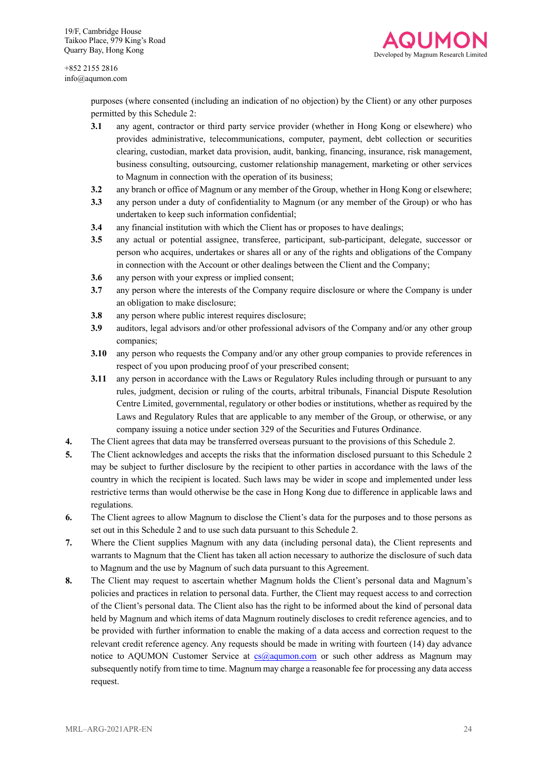

> purposes (where consented (including an indication of no objection) by the Client) or any other purposes permitted by this Schedule 2:

- **3.1** any agent, contractor or third party service provider (whether in Hong Kong or elsewhere) who provides administrative, telecommunications, computer, payment, debt collection or securities clearing, custodian, market data provision, audit, banking, financing, insurance, risk management, business consulting, outsourcing, customer relationship management, marketing or other services to Magnum in connection with the operation of its business;
- **3.2** any branch or office of Magnum or any member of the Group, whether in Hong Kong or elsewhere;
- **3.3** any person under a duty of confidentiality to Magnum (or any member of the Group) or who has undertaken to keep such information confidential;
- **3.4** any financial institution with which the Client has or proposes to have dealings;
- **3.5** any actual or potential assignee, transferee, participant, sub-participant, delegate, successor or person who acquires, undertakes or shares all or any of the rights and obligations of the Company in connection with the Account or other dealings between the Client and the Company;
- **3.6** any person with your express or implied consent;
- **3.7** any person where the interests of the Company require disclosure or where the Company is under an obligation to make disclosure;
- **3.8** any person where public interest requires disclosure;
- **3.9** auditors, legal advisors and/or other professional advisors of the Company and/or any other group companies;
- **3.10** any person who requests the Company and/or any other group companies to provide references in respect of you upon producing proof of your prescribed consent;
- **3.11** any person in accordance with the Laws or Regulatory Rules including through or pursuant to any rules, judgment, decision or ruling of the courts, arbitral tribunals, Financial Dispute Resolution Centre Limited, governmental, regulatory or other bodies or institutions, whether as required by the Laws and Regulatory Rules that are applicable to any member of the Group, or otherwise, or any company issuing a notice under section 329 of the Securities and Futures Ordinance.
- **4.** The Client agrees that data may be transferred overseas pursuant to the provisions of this Schedule 2.
- **5.** The Client acknowledges and accepts the risks that the information disclosed pursuant to this Schedule 2 may be subject to further disclosure by the recipient to other parties in accordance with the laws of the country in which the recipient is located. Such laws may be wider in scope and implemented under less restrictive terms than would otherwise be the case in Hong Kong due to difference in applicable laws and regulations.
- **6.** The Client agrees to allow Magnum to disclose the Client's data for the purposes and to those persons as set out in this Schedule 2 and to use such data pursuant to this Schedule 2.
- **7.** Where the Client supplies Magnum with any data (including personal data), the Client represents and warrants to Magnum that the Client has taken all action necessary to authorize the disclosure of such data to Magnum and the use by Magnum of such data pursuant to this Agreement.
- **8.** The Client may request to ascertain whether Magnum holds the Client's personal data and Magnum's policies and practices in relation to personal data. Further, the Client may request access to and correction of the Client's personal data. The Client also has the right to be informed about the kind of personal data held by Magnum and which items of data Magnum routinely discloses to credit reference agencies, and to be provided with further information to enable the making of a data access and correction request to the relevant credit reference agency. Any requests should be made in writing with fourteen (14) day advance notice to AQUMON Customer Service at  $cs@aqumon.com$  or such other address as Magnum may subsequently notify from time to time. Magnum may charge a reasonable fee for processing any data access request.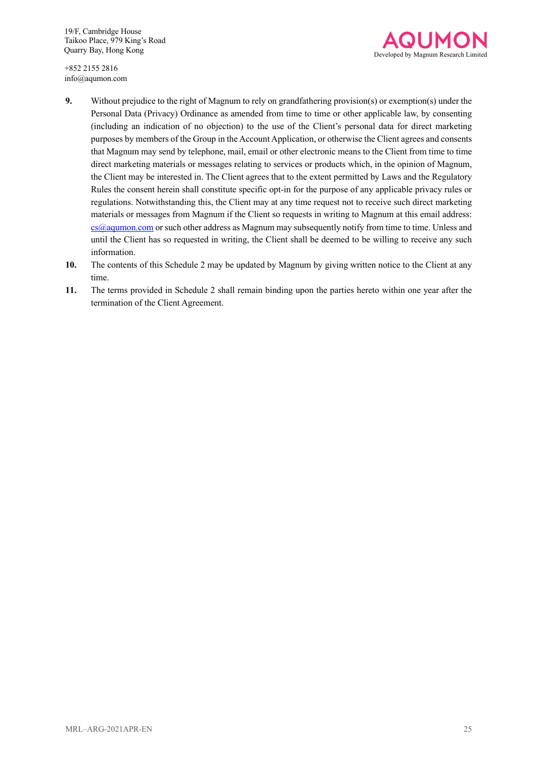

+852 2155 2816 info@aqumon.com

- **9.** Without prejudice to the right of Magnum to rely on grandfathering provision(s) or exemption(s) under the Personal Data (Privacy) Ordinance as amended from time to time or other applicable law, by consenting (including an indication of no objection) to the use of the Client's personal data for direct marketing purposes by members of the Group in the Account Application, or otherwise the Client agrees and consents that Magnum may send by telephone, mail, email or other electronic means to the Client from time to time direct marketing materials or messages relating to services or products which, in the opinion of Magnum, the Client may be interested in. The Client agrees that to the extent permitted by Laws and the Regulatory Rules the consent herein shall constitute specific opt-in for the purpose of any applicable privacy rules or regulations. Notwithstanding this, the Client may at any time request not to receive such direct marketing materials or messages from Magnum if the Client so requests in writing to Magnum at this email address: cs@aqumon.com or such other address as Magnum may subsequently notify from time to time. Unless and until the Client has so requested in writing, the Client shall be deemed to be willing to receive any such information.
- **10.** The contents of this Schedule 2 may be updated by Magnum by giving written notice to the Client at any time.
- **11.** The terms provided in Schedule 2 shall remain binding upon the parties hereto within one year after the termination of the Client Agreement.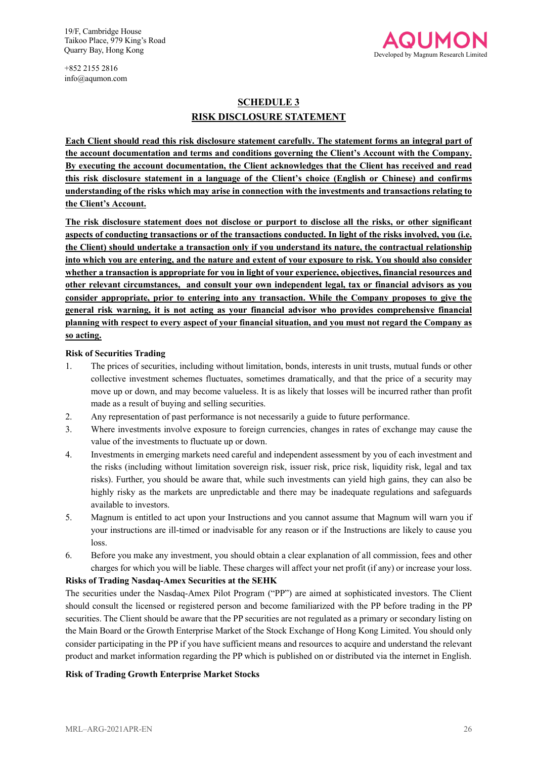

+852 2155 2816 info@aqumon.com

## **SCHEDULE 3 RISK DISCLOSURE STATEMENT**

**Each Client should read this risk disclosure statement carefully. The statement forms an integral part of the account documentation and terms and conditions governing the Client's Account with the Company. By executing the account documentation, the Client acknowledges that the Client has received and read this risk disclosure statement in a language of the Client's choice (English or Chinese) and confirms understanding of the risks which may arise in connection with the investments and transactions relating to the Client's Account.**

**The risk disclosure statement does not disclose or purport to disclose all the risks, or other significant aspects of conducting transactions or of the transactions conducted. In light of the risks involved, you (i.e. the Client) should undertake a transaction only if you understand its nature, the contractual relationship into which you are entering, and the nature and extent of your exposure to risk. You should also consider whether a transaction is appropriate for you in light of your experience, objectives, financial resources and other relevant circumstances, and consult your own independent legal, tax or financial advisors as you consider appropriate, prior to entering into any transaction. While the Company proposes to give the general risk warning, it is not acting as your financial advisor who provides comprehensive financial planning with respect to every aspect of your financial situation, and you must not regard the Company as so acting.**

#### **Risk of Securities Trading**

- 1. The prices of securities, including without limitation, bonds, interests in unit trusts, mutual funds or other collective investment schemes fluctuates, sometimes dramatically, and that the price of a security may move up or down, and may become valueless. It is as likely that losses will be incurred rather than profit made as a result of buying and selling securities.
- 2. Any representation of past performance is not necessarily a guide to future performance.
- 3. Where investments involve exposure to foreign currencies, changes in rates of exchange may cause the value of the investments to fluctuate up or down.
- 4. Investments in emerging markets need careful and independent assessment by you of each investment and the risks (including without limitation sovereign risk, issuer risk, price risk, liquidity risk, legal and tax risks). Further, you should be aware that, while such investments can yield high gains, they can also be highly risky as the markets are unpredictable and there may be inadequate regulations and safeguards available to investors.
- 5. Magnum is entitled to act upon your Instructions and you cannot assume that Magnum will warn you if your instructions are ill-timed or inadvisable for any reason or if the Instructions are likely to cause you loss.
- 6. Before you make any investment, you should obtain a clear explanation of all commission, fees and other charges for which you will be liable. These charges will affect your net profit (if any) or increase your loss.

#### **Risks of Trading Nasdaq-Amex Securities at the SEHK**

The securities under the Nasdaq-Amex Pilot Program ("PP") are aimed at sophisticated investors. The Client should consult the licensed or registered person and become familiarized with the PP before trading in the PP securities. The Client should be aware that the PP securities are not regulated as a primary or secondary listing on the Main Board or the Growth Enterprise Market of the Stock Exchange of Hong Kong Limited. You should only consider participating in the PP if you have sufficient means and resources to acquire and understand the relevant product and market information regarding the PP which is published on or distributed via the internet in English.

#### **Risk of Trading Growth Enterprise Market Stocks**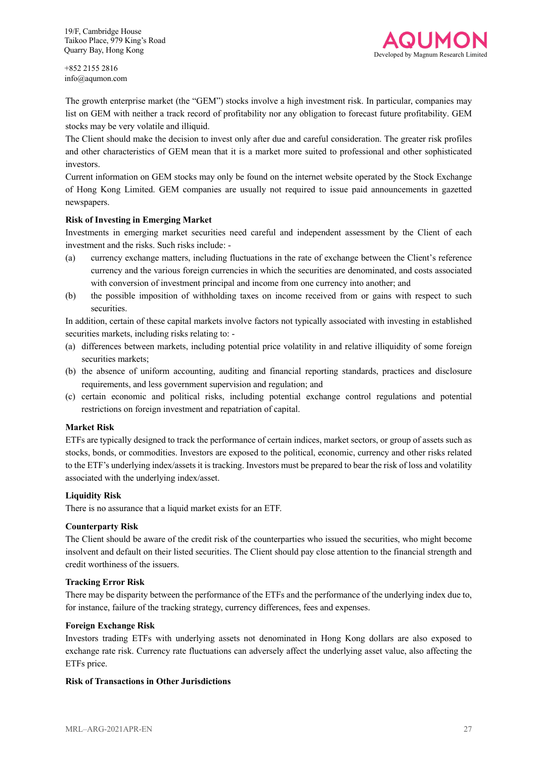

+852 2155 2816 info@aqumon.com

The growth enterprise market (the "GEM") stocks involve a high investment risk. In particular, companies may list on GEM with neither a track record of profitability nor any obligation to forecast future profitability. GEM stocks may be very volatile and illiquid.

The Client should make the decision to invest only after due and careful consideration. The greater risk profiles and other characteristics of GEM mean that it is a market more suited to professional and other sophisticated investors.

Current information on GEM stocks may only be found on the internet website operated by the Stock Exchange of Hong Kong Limited. GEM companies are usually not required to issue paid announcements in gazetted newspapers.

#### **Risk of Investing in Emerging Market**

Investments in emerging market securities need careful and independent assessment by the Client of each investment and the risks. Such risks include: -

- (a) currency exchange matters, including fluctuations in the rate of exchange between the Client's reference currency and the various foreign currencies in which the securities are denominated, and costs associated with conversion of investment principal and income from one currency into another; and
- (b) the possible imposition of withholding taxes on income received from or gains with respect to such securities.

In addition, certain of these capital markets involve factors not typically associated with investing in established securities markets, including risks relating to: -

- (a) differences between markets, including potential price volatility in and relative illiquidity of some foreign securities markets;
- (b) the absence of uniform accounting, auditing and financial reporting standards, practices and disclosure requirements, and less government supervision and regulation; and
- (c) certain economic and political risks, including potential exchange control regulations and potential restrictions on foreign investment and repatriation of capital.

#### **Market Risk**

ETFs are typically designed to track the performance of certain indices, market sectors, or group of assets such as stocks, bonds, or commodities. Investors are exposed to the political, economic, currency and other risks related to the ETF's underlying index/assets it is tracking. Investors must be prepared to bear the risk of loss and volatility associated with the underlying index/asset.

#### **Liquidity Risk**

There is no assurance that a liquid market exists for an ETF.

#### **Counterparty Risk**

The Client should be aware of the credit risk of the counterparties who issued the securities, who might become insolvent and default on their listed securities. The Client should pay close attention to the financial strength and credit worthiness of the issuers.

#### **Tracking Error Risk**

There may be disparity between the performance of the ETFs and the performance of the underlying index due to, for instance, failure of the tracking strategy, currency differences, fees and expenses.

#### **Foreign Exchange Risk**

Investors trading ETFs with underlying assets not denominated in Hong Kong dollars are also exposed to exchange rate risk. Currency rate fluctuations can adversely affect the underlying asset value, also affecting the ETFs price.

#### **Risk of Transactions in Other Jurisdictions**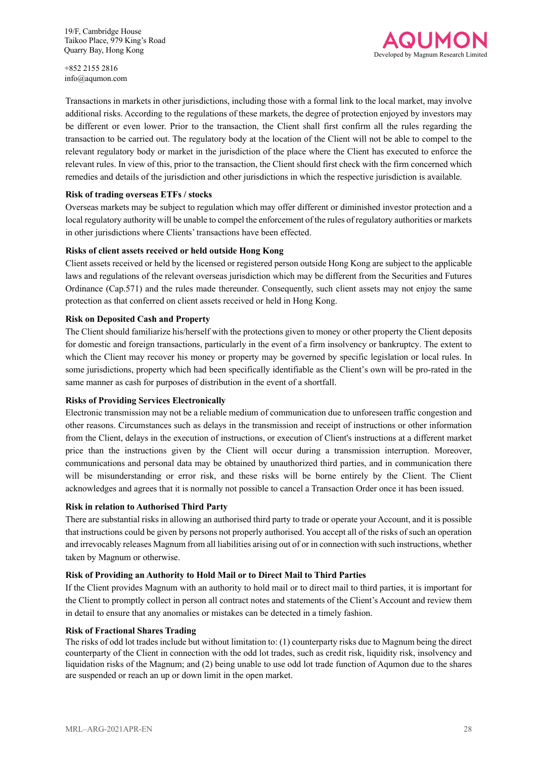+852 2155 2816 info@aqumon.com



Transactions in markets in other jurisdictions, including those with a formal link to the local market, may involve additional risks. According to the regulations of these markets, the degree of protection enjoyed by investors may be different or even lower. Prior to the transaction, the Client shall first confirm all the rules regarding the transaction to be carried out. The regulatory body at the location of the Client will not be able to compel to the relevant regulatory body or market in the jurisdiction of the place where the Client has executed to enforce the relevant rules. In view of this, prior to the transaction, the Client should first check with the firm concerned which remedies and details of the jurisdiction and other jurisdictions in which the respective jurisdiction is available.

#### **Risk of trading overseas ETFs / stocks**

Overseas markets may be subject to regulation which may offer different or diminished investor protection and a local regulatory authority will be unable to compel the enforcement of the rules of regulatory authorities or markets in other jurisdictions where Clients' transactions have been effected.

#### **Risks of client assets received or held outside Hong Kong**

Client assets received or held by the licensed or registered person outside Hong Kong are subject to the applicable laws and regulations of the relevant overseas jurisdiction which may be different from the Securities and Futures Ordinance (Cap.571) and the rules made thereunder. Consequently, such client assets may not enjoy the same protection as that conferred on client assets received or held in Hong Kong.

#### **Risk on Deposited Cash and Property**

The Client should familiarize his/herself with the protections given to money or other property the Client deposits for domestic and foreign transactions, particularly in the event of a firm insolvency or bankruptcy. The extent to which the Client may recover his money or property may be governed by specific legislation or local rules. In some jurisdictions, property which had been specifically identifiable as the Client's own will be pro-rated in the same manner as cash for purposes of distribution in the event of a shortfall.

#### **Risks of Providing Services Electronically**

Electronic transmission may not be a reliable medium of communication due to unforeseen traffic congestion and other reasons. Circumstances such as delays in the transmission and receipt of instructions or other information from the Client, delays in the execution of instructions, or execution of Client's instructions at a different market price than the instructions given by the Client will occur during a transmission interruption. Moreover, communications and personal data may be obtained by unauthorized third parties, and in communication there will be misunderstanding or error risk, and these risks will be borne entirely by the Client. The Client acknowledges and agrees that it is normally not possible to cancel a Transaction Order once it has been issued.

#### **Risk in relation to Authorised Third Party**

There are substantial risks in allowing an authorised third party to trade or operate your Account, and it is possible that instructions could be given by persons not properly authorised. You accept all of the risks of such an operation and irrevocably releases Magnum from all liabilities arising out of or in connection with such instructions, whether taken by Magnum or otherwise.

#### **Risk of Providing an Authority to Hold Mail or to Direct Mail to Third Parties**

If the Client provides Magnum with an authority to hold mail or to direct mail to third parties, it is important for the Client to promptly collect in person all contract notes and statements of the Client's Account and review them in detail to ensure that any anomalies or mistakes can be detected in a timely fashion.

#### **Risk of Fractional Shares Trading**

The risks of odd lot trades include but without limitation to: (1) counterparty risks due to Magnum being the direct counterparty of the Client in connection with the odd lot trades, such as credit risk, liquidity risk, insolvency and liquidation risks of the Magnum; and (2) being unable to use odd lot trade function of Aqumon due to the shares are suspended or reach an up or down limit in the open market.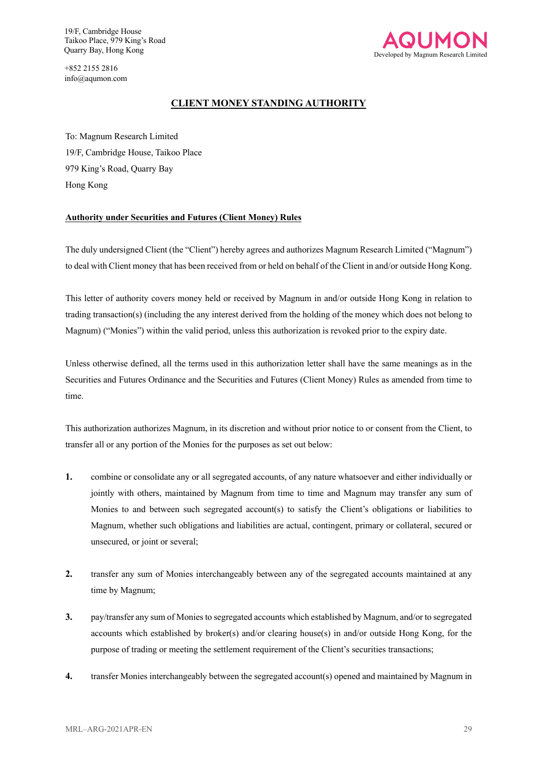+852 2155 2816 info@aqumon.com



### **CLIENT MONEY STANDING AUTHORITY**

To: Magnum Research Limited 19/F, Cambridge House, Taikoo Place 979 King's Road, Quarry Bay Hong Kong

#### **Authority under Securities and Futures (Client Money) Rules**

The duly undersigned Client (the "Client") hereby agrees and authorizes Magnum Research Limited ("Magnum") to deal with Client money that has been received from or held on behalf of the Client in and/or outside Hong Kong.

This letter of authority covers money held or received by Magnum in and/or outside Hong Kong in relation to trading transaction(s) (including the any interest derived from the holding of the money which does not belong to Magnum) ("Monies") within the valid period, unless this authorization is revoked prior to the expiry date.

Unless otherwise defined, all the terms used in this authorization letter shall have the same meanings as in the Securities and Futures Ordinance and the Securities and Futures (Client Money) Rules as amended from time to time.

This authorization authorizes Magnum, in its discretion and without prior notice to or consent from the Client, to transfer all or any portion of the Monies for the purposes as set out below:

- **1.** combine or consolidate any or all segregated accounts, of any nature whatsoever and either individually or jointly with others, maintained by Magnum from time to time and Magnum may transfer any sum of Monies to and between such segregated account(s) to satisfy the Client's obligations or liabilities to Magnum, whether such obligations and liabilities are actual, contingent, primary or collateral, secured or unsecured, or joint or several;
- **2.** transfer any sum of Monies interchangeably between any of the segregated accounts maintained at any time by Magnum;
- **3.** pay/transfer any sum of Monies to segregated accounts which established by Magnum, and/or to segregated accounts which established by broker(s) and/or clearing house(s) in and/or outside Hong Kong, for the purpose of trading or meeting the settlement requirement of the Client's securities transactions;
- **4.** transfer Monies interchangeably between the segregated account(s) opened and maintained by Magnum in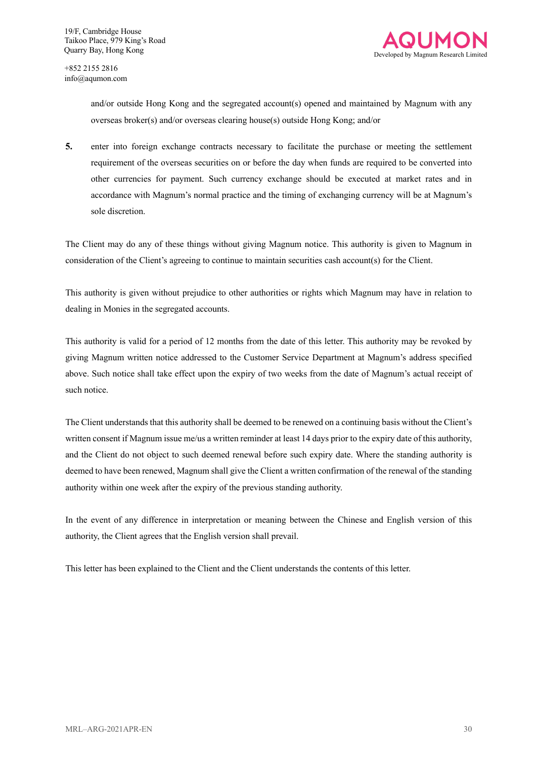

> and/or outside Hong Kong and the segregated account(s) opened and maintained by Magnum with any overseas broker(s) and/or overseas clearing house(s) outside Hong Kong; and/or

**5.** enter into foreign exchange contracts necessary to facilitate the purchase or meeting the settlement requirement of the overseas securities on or before the day when funds are required to be converted into other currencies for payment. Such currency exchange should be executed at market rates and in accordance with Magnum's normal practice and the timing of exchanging currency will be at Magnum's sole discretion.

The Client may do any of these things without giving Magnum notice. This authority is given to Magnum in consideration of the Client's agreeing to continue to maintain securities cash account(s) for the Client.

This authority is given without prejudice to other authorities or rights which Magnum may have in relation to dealing in Monies in the segregated accounts.

This authority is valid for a period of 12 months from the date of this letter. This authority may be revoked by giving Magnum written notice addressed to the Customer Service Department at Magnum's address specified above. Such notice shall take effect upon the expiry of two weeks from the date of Magnum's actual receipt of such notice.

The Client understands that this authority shall be deemed to be renewed on a continuing basis without the Client's written consent if Magnum issue me/us a written reminder at least 14 days prior to the expiry date of this authority, and the Client do not object to such deemed renewal before such expiry date. Where the standing authority is deemed to have been renewed, Magnum shall give the Client a written confirmation of the renewal of the standing authority within one week after the expiry of the previous standing authority.

In the event of any difference in interpretation or meaning between the Chinese and English version of this authority, the Client agrees that the English version shall prevail.

This letter has been explained to the Client and the Client understands the contents of this letter.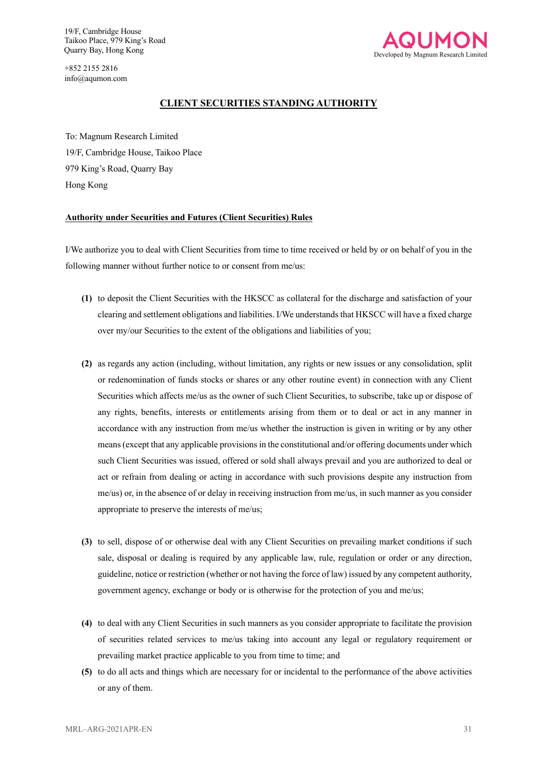+852 2155 2816 info@aqumon.com



#### **CLIENT SECURITIES STANDING AUTHORITY**

To: Magnum Research Limited 19/F, Cambridge House, Taikoo Place 979 King's Road, Quarry Bay Hong Kong

#### **Authority under Securities and Futures (Client Securities) Rules**

I/We authorize you to deal with Client Securities from time to time received or held by or on behalf of you in the following manner without further notice to or consent from me/us:

- **(1)** to deposit the Client Securities with the HKSCC as collateral for the discharge and satisfaction of your clearing and settlement obligations and liabilities. I/We understands that HKSCC will have a fixed charge over my/our Securities to the extent of the obligations and liabilities of you;
- **(2)** as regards any action (including, without limitation, any rights or new issues or any consolidation, split or redenomination of funds stocks or shares or any other routine event) in connection with any Client Securities which affects me/us as the owner of such Client Securities, to subscribe, take up or dispose of any rights, benefits, interests or entitlements arising from them or to deal or act in any manner in accordance with any instruction from me/us whether the instruction is given in writing or by any other means (except that any applicable provisions in the constitutional and/or offering documents under which such Client Securities was issued, offered or sold shall always prevail and you are authorized to deal or act or refrain from dealing or acting in accordance with such provisions despite any instruction from me/us) or, in the absence of or delay in receiving instruction from me/us, in such manner as you consider appropriate to preserve the interests of me/us;
- **(3)** to sell, dispose of or otherwise deal with any Client Securities on prevailing market conditions if such sale, disposal or dealing is required by any applicable law, rule, regulation or order or any direction, guideline, notice or restriction (whether or not having the force of law) issued by any competent authority, government agency, exchange or body or is otherwise for the protection of you and me/us;
- **(4)** to deal with any Client Securities in such manners as you consider appropriate to facilitate the provision of securities related services to me/us taking into account any legal or regulatory requirement or prevailing market practice applicable to you from time to time; and
- **(5)** to do all acts and things which are necessary for or incidental to the performance of the above activities or any of them.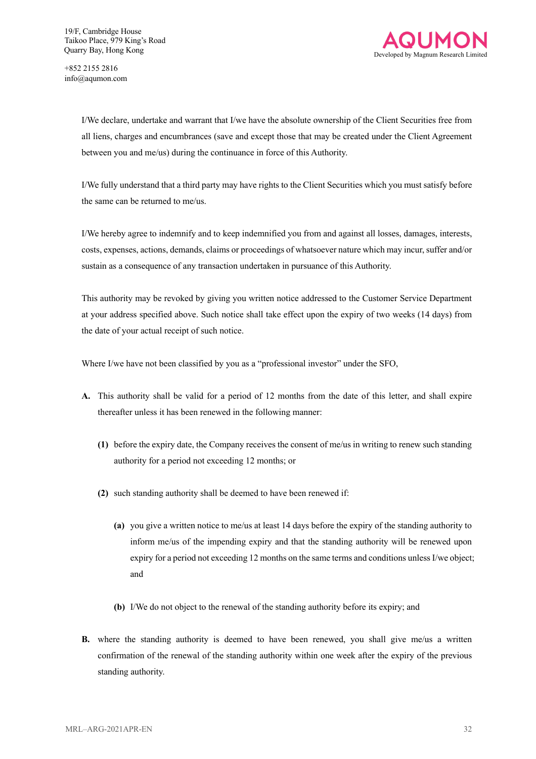

I/We declare, undertake and warrant that I/we have the absolute ownership of the Client Securities free from all liens, charges and encumbrances (save and except those that may be created under the Client Agreement between you and me/us) during the continuance in force of this Authority.

I/We fully understand that a third party may have rights to the Client Securities which you must satisfy before the same can be returned to me/us.

I/We hereby agree to indemnify and to keep indemnified you from and against all losses, damages, interests, costs, expenses, actions, demands, claims or proceedings of whatsoever nature which may incur, suffer and/or sustain as a consequence of any transaction undertaken in pursuance of this Authority.

This authority may be revoked by giving you written notice addressed to the Customer Service Department at your address specified above. Such notice shall take effect upon the expiry of two weeks (14 days) from the date of your actual receipt of such notice.

Where I/we have not been classified by you as a "professional investor" under the SFO,

- **A.** This authority shall be valid for a period of 12 months from the date of this letter, and shall expire thereafter unless it has been renewed in the following manner:
	- **(1)** before the expiry date, the Company receives the consent of me/us in writing to renew such standing authority for a period not exceeding 12 months; or
	- **(2)** such standing authority shall be deemed to have been renewed if:
		- **(a)** you give a written notice to me/us at least 14 days before the expiry of the standing authority to inform me/us of the impending expiry and that the standing authority will be renewed upon expiry for a period not exceeding 12 months on the same terms and conditions unless I/we object; and
		- **(b)** I/We do not object to the renewal of the standing authority before its expiry; and
- **B.** where the standing authority is deemed to have been renewed, you shall give me/us a written confirmation of the renewal of the standing authority within one week after the expiry of the previous standing authority.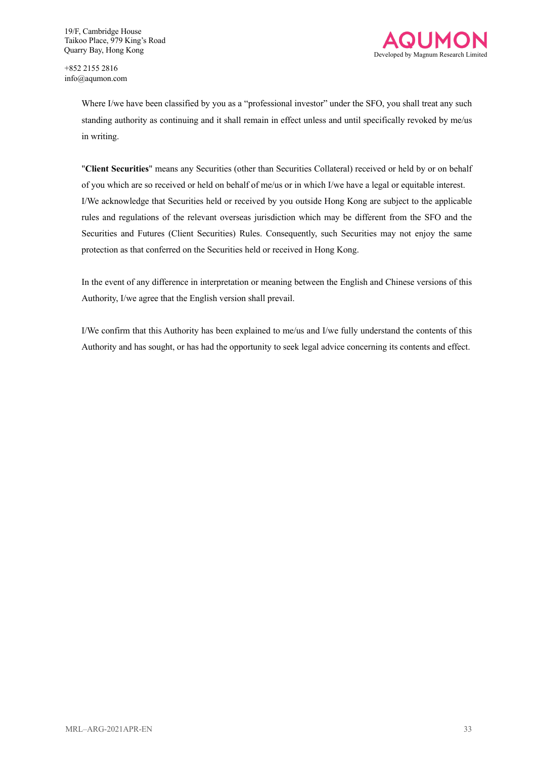

Where I/we have been classified by you as a "professional investor" under the SFO, you shall treat any such standing authority as continuing and it shall remain in effect unless and until specifically revoked by me/us in writing.

"**Client Securities**" means any Securities (other than Securities Collateral) received or held by or on behalf of you which are so received or held on behalf of me/us or in which I/we have a legal or equitable interest. I/We acknowledge that Securities held or received by you outside Hong Kong are subject to the applicable rules and regulations of the relevant overseas jurisdiction which may be different from the SFO and the Securities and Futures (Client Securities) Rules. Consequently, such Securities may not enjoy the same protection as that conferred on the Securities held or received in Hong Kong.

In the event of any difference in interpretation or meaning between the English and Chinese versions of this Authority, I/we agree that the English version shall prevail.

I/We confirm that this Authority has been explained to me/us and I/we fully understand the contents of this Authority and has sought, or has had the opportunity to seek legal advice concerning its contents and effect.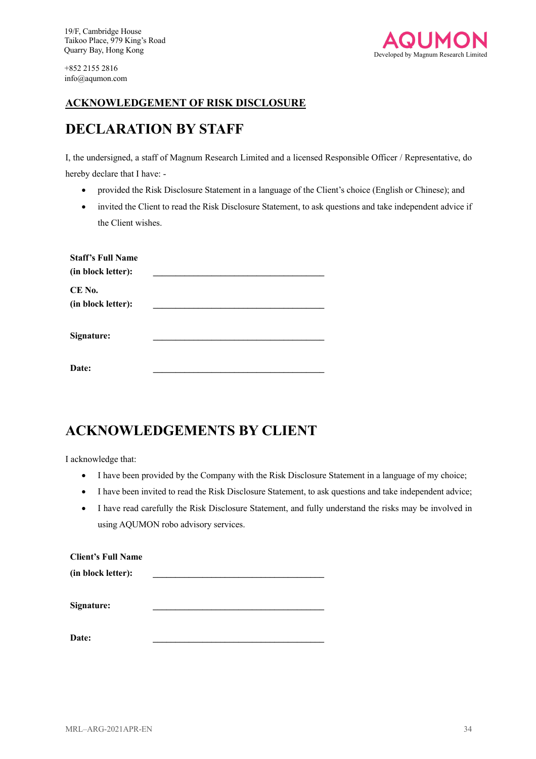

## **ACKNOWLEDGEMENT OF RISK DISCLOSURE**

## **DECLARATION BY STAFF**

I, the undersigned, a staff of Magnum Research Limited and a licensed Responsible Officer / Representative, do hereby declare that I have: -

- provided the Risk Disclosure Statement in a language of the Client's choice (English or Chinese); and
- invited the Client to read the Risk Disclosure Statement, to ask questions and take independent advice if the Client wishes.

| <b>Staff's Full Name</b><br>(in block letter): |  |
|------------------------------------------------|--|
| CE No.<br>(in block letter):                   |  |
| Signature:                                     |  |
| Date:                                          |  |

## **ACKNOWLEDGEMENTS BY CLIENT**

I acknowledge that:

- I have been provided by the Company with the Risk Disclosure Statement in a language of my choice;
- I have been invited to read the Risk Disclosure Statement, to ask questions and take independent advice;
- I have read carefully the Risk Disclosure Statement, and fully understand the risks may be involved in using AQUMON robo advisory services.

| <b>Client's Full Name</b> |  |
|---------------------------|--|
| (in block letter):        |  |
|                           |  |
| Signature:                |  |
|                           |  |

**Date: \_\_\_\_\_\_\_\_\_\_\_\_\_\_\_\_\_\_\_\_\_\_\_\_\_\_\_\_\_\_\_\_\_\_\_\_\_\_**